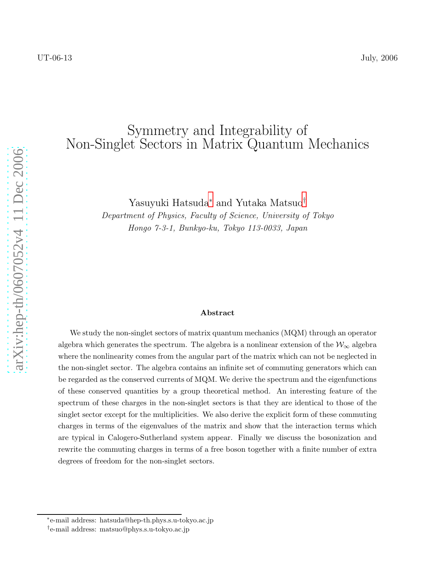## Symmetry and Integrability of Non-Singlet Sectors in Matrix Quantum Mechanics

Yasuyuki Hatsuda [∗](#page-0-0) and Yutaka Matsuo [†](#page-0-1)

Department of Physics, Faculty of Science, University of Tokyo Hongo 7-3-1, Bunkyo-ku, Tokyo 113-0033, Japan

#### Abstract

We study the non-singlet sectors of matrix quantum mechanics (MQM) through an operator algebra which generates the spectrum. The algebra is a nonlinear extension of the  $\mathcal{W}_{\infty}$  algebra where the nonlinearity comes from the angular part of the matrix which can not be neglected in the non-singlet sector. The algebra contains an infinite set of commuting generators which can be regarded as the conserved currents of MQM. We derive the spectrum and the eigenfunctions of these conserved quantities by a group theoretical method. An interesting feature of the spectrum of these charges in the non-singlet sectors is that they are identical to those of the singlet sector except for the multiplicities. We also derive the explicit form of these commuting charges in terms of the eigenvalues of the matrix and show that the interaction terms which are typical in Calogero-Sutherland system appear. Finally we discuss the bosonization and rewrite the commuting charges in terms of a free boson together with a finite number of extra degrees of freedom for the non-singlet sectors.

<sup>∗</sup> e-mail address: hatsuda@hep-th.phys.s.u-tokyo.ac.jp

<span id="page-0-1"></span><span id="page-0-0"></span><sup>†</sup> e-mail address: matsuo@phys.s.u-tokyo.ac.jp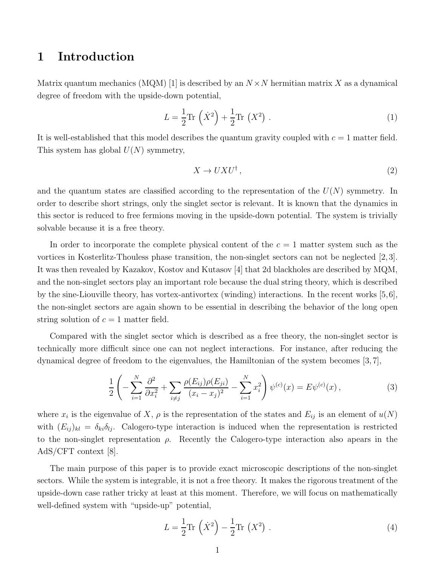## 1 Introduction

Matrix quantum mechanics (MQM) [1] is described by an  $N \times N$  hermitian matrix X as a dynamical degree of freedom with the upside-down potential,

$$
L = \frac{1}{2}\text{Tr}\left(\dot{X}^2\right) + \frac{1}{2}\text{Tr}\left(X^2\right) \,. \tag{1}
$$

It is well-established that this model describes the quantum gravity coupled with  $c = 1$  matter field. This system has global  $U(N)$  symmetry,

$$
X \to U X U^{\dagger} \,, \tag{2}
$$

and the quantum states are classified according to the representation of the  $U(N)$  symmetry. In order to describe short strings, only the singlet sector is relevant. It is known that the dynamics in this sector is reduced to free fermions moving in the upside-down potential. The system is trivially solvable because it is a free theory.

In order to incorporate the complete physical content of the  $c = 1$  matter system such as the vortices in Kosterlitz-Thouless phase transition, the non-singlet sectors can not be neglected [2, 3]. It was then revealed by Kazakov, Kostov and Kutasov [4] that 2d blackholes are described by MQM, and the non-singlet sectors play an important role because the dual string theory, which is described by the sine-Liouville theory, has vortex-antivortex (winding) interactions. In the recent works [5,6], the non-singlet sectors are again shown to be essential in describing the behavior of the long open string solution of  $c = 1$  matter field.

Compared with the singlet sector which is described as a free theory, the non-singlet sector is technically more difficult since one can not neglect interactions. For instance, after reducing the dynamical degree of freedom to the eigenvalues, the Hamiltonian of the system becomes [3, 7],

<span id="page-1-0"></span>
$$
\frac{1}{2}\left(-\sum_{i=1}^{N}\frac{\partial^{2}}{\partial x_{i}^{2}}+\sum_{i\neq j}\frac{\rho(E_{ij})\rho(E_{ji})}{(x_{i}-x_{j})^{2}}-\sum_{i=1}^{N}x_{i}^{2}\right)\psi^{(c)}(x)=E\psi^{(c)}(x),
$$
\n(3)

where  $x_i$  is the eigenvalue of X,  $\rho$  is the representation of the states and  $E_{ij}$  is an element of  $u(N)$ with  $(E_{ij})_{kl} = \delta_{ki}\delta_{lj}$ . Calogero-type interaction is induced when the representation is restricted to the non-singlet representation  $\rho$ . Recently the Calogero-type interaction also apears in the AdS/CFT context [8].

The main purpose of this paper is to provide exact microscopic descriptions of the non-singlet sectors. While the system is integrable, it is not a free theory. It makes the rigorous treatment of the upside-down case rather tricky at least at this moment. Therefore, we will focus on mathematically well-defined system with "upside-up" potential,

$$
L = \frac{1}{2}\text{Tr}\left(\dot{X}^2\right) - \frac{1}{2}\text{Tr}\left(X^2\right) \,. \tag{4}
$$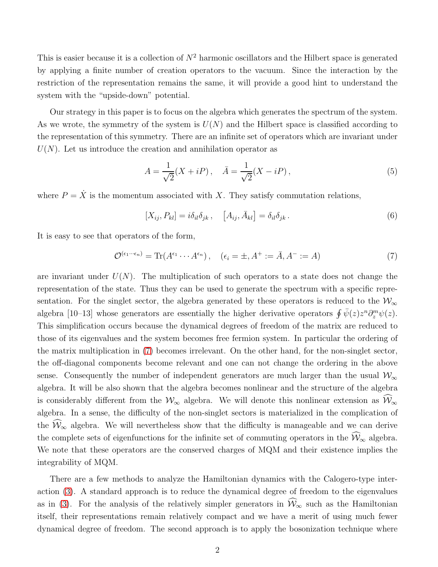This is easier because it is a collection of  $N^2$  harmonic oscillators and the Hilbert space is generated by applying a finite number of creation operators to the vacuum. Since the interaction by the restriction of the representation remains the same, it will provide a good hint to understand the system with the "upside-down" potential.

Our strategy in this paper is to focus on the algebra which generates the spectrum of the system. As we wrote, the symmetry of the system is  $U(N)$  and the Hilbert space is classified according to the representation of this symmetry. There are an infinite set of operators which are invariant under  $U(N)$ . Let us introduce the creation and annihilation operator as

$$
A = \frac{1}{\sqrt{2}} (X + iP), \quad \bar{A} = \frac{1}{\sqrt{2}} (X - iP), \tag{5}
$$

where  $P = \dot{X}$  is the momentum associated with X. They satisfy commutation relations,

$$
[X_{ij}, P_{kl}] = i\delta_{il}\delta_{jk}, \quad [A_{ij}, \bar{A}_{kl}] = \delta_{il}\delta_{jk}.
$$
 (6)

It is easy to see that operators of the form,

<span id="page-2-0"></span>
$$
\mathcal{O}^{(\epsilon_1 \cdots \epsilon_n)} = \text{Tr}(A^{\epsilon_1} \cdots A^{\epsilon_n}), \quad (\epsilon_i = \pm, A^+ := \bar{A}, A^- := A)
$$
 (7)

are invariant under  $U(N)$ . The multiplication of such operators to a state does not change the representation of the state. Thus they can be used to generate the spectrum with a specific representation. For the singlet sector, the algebra generated by these operators is reduced to the  $\mathcal{W}_{\infty}$ algebra [10–13] whose generators are essentially the higher derivative operators  $\oint \bar{\psi}(z) z^n \partial_z^m \psi(z)$ . This simplification occurs because the dynamical degrees of freedom of the matrix are reduced to those of its eigenvalues and the system becomes free fermion system. In particular the ordering of the matrix multiplication in [\(7\)](#page-2-0) becomes irrelevant. On the other hand, for the non-singlet sector, the off-diagonal components become relevant and one can not change the ordering in the above sense. Consequently the number of independent generators are much larger than the usual  $\mathcal{W}_{\infty}$ algebra. It will be also shown that the algebra becomes nonlinear and the structure of the algebra is considerably different from the  $\mathcal{W}_{\infty}$  algebra. We will denote this nonlinear extension as  $\widehat{\mathcal{W}}_{\infty}$ algebra. In a sense, the difficulty of the non-singlet sectors is materialized in the complication of the  $\widehat{\mathcal{W}}_{\infty}$  algebra. We will nevertheless show that the difficulty is manageable and we can derive the complete sets of eigenfunctions for the infinite set of commuting operators in the  $\widehat{\mathcal{W}}_{\infty}$  algebra. We note that these operators are the conserved charges of MQM and their existence implies the integrability of MQM.

There are a few methods to analyze the Hamiltonian dynamics with the Calogero-type interaction [\(3\)](#page-1-0). A standard approach is to reduce the dynamical degree of freedom to the eigenvalues as in [\(3\)](#page-1-0). For the analysis of the relatively simpler generators in  $\widehat{W}_{\infty}$  such as the Hamiltonian itself, their representations remain relatively compact and we have a merit of using much fewer dynamical degree of freedom. The second approach is to apply the bosonization technique where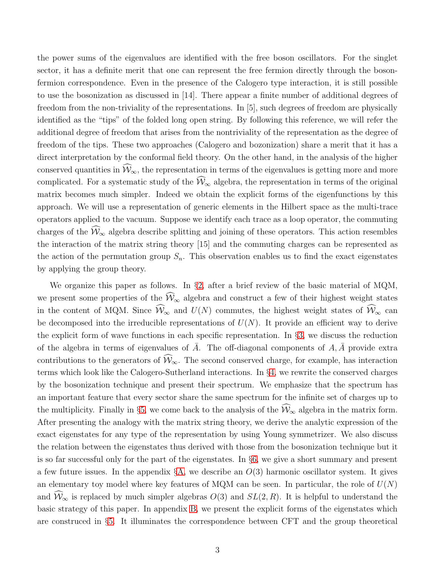the power sums of the eigenvalues are identified with the free boson oscillators. For the singlet sector, it has a definite merit that one can represent the free fermion directly through the bosonfermion correspondence. Even in the presence of the Calogero type interaction, it is still possible to use the bosonization as discussed in [14]. There appear a finite number of additional degrees of freedom from the non-triviality of the representations. In [5], such degrees of freedom are physically identified as the "tips" of the folded long open string. By following this reference, we will refer the additional degree of freedom that arises from the nontriviality of the representation as the degree of freedom of the tips. These two approaches (Calogero and bozonization) share a merit that it has a direct interpretation by the conformal field theory. On the other hand, in the analysis of the higher conserved quantities in  $\widehat{\mathcal{W}}_{\infty}$ , the representation in terms of the eigenvalues is getting more and more complicated. For a systematic study of the  $\widehat{W}_{\infty}$  algebra, the representation in terms of the original matrix becomes much simpler. Indeed we obtain the explicit forms of the eigenfunctions by this approach. We will use a representation of generic elements in the Hilbert space as the multi-trace operators applied to the vacuum. Suppose we identify each trace as a loop operator, the commuting charges of the  $\hat{W}_{\infty}$  algebra describe splitting and joining of these operators. This action resembles the interaction of the matrix string theory [15] and the commuting charges can be represented as the action of the permutation group  $S_n$ . This observation enables us to find the exact eigenstates by applying the group theory.

We organize this paper as follows. In §[2,](#page-4-0) after a brief review of the basic material of MQM, we present some properties of the  $\widehat{W}_{\infty}$  algebra and construct a few of their highest weight states in the content of MQM. Since  $\widehat{W}_{\infty}$  and  $U(N)$  commutes, the highest weight states of  $\widehat{W}_{\infty}$  can be decomposed into the irreducible representations of  $U(N)$ . It provide an efficient way to derive the explicit form of wave functions in each specific representation. In §[3,](#page-11-0) we discuss the reduction of the algebra in terms of eigenvalues of  $\overline{A}$ . The off-diagonal components of  $A, \overline{A}$  provide extra contributions to the generators of  $\widehat{\mathcal{W}}_{\infty}$ . The second conserved charge, for example, has interaction terms which look like the Calogero-Sutherland interactions. In §[4,](#page-13-0) we rewrite the conserved charges by the bosonization technique and present their spectrum. We emphasize that the spectrum has an important feature that every sector share the same spectrum for the infinite set of charges up to the multiplicity. Finally in §[5,](#page-18-0) we come back to the analysis of the  $\widehat{W}_{\infty}$  algebra in the matrix form. After presenting the analogy with the matrix string theory, we derive the analytic expression of the exact eigenstates for any type of the representation by using Young symmetrizer. We also discuss the relation between the eigenstates thus derived with those from the bosonization technique but it is so far successful only for the part of the eigenstates. In §[6,](#page-27-0) we give a short summary and present a few future issues. In the appendix  $\S$ [A,](#page-28-0) we describe an  $O(3)$  harmonic oscillator system. It gives an elementary toy model where key features of MQM can be seen. In particular, the role of  $U(N)$ and  $\widehat{W}_{\infty}$  is replaced by much simpler algebras  $O(3)$  and  $SL(2, R)$ . It is helpful to understand the basic strategy of this paper. In appendix [B,](#page-30-0) we present the explicit forms of the eigenstates which are construced in §[5.](#page-18-0) It illuminates the correspondence between CFT and the group theoretical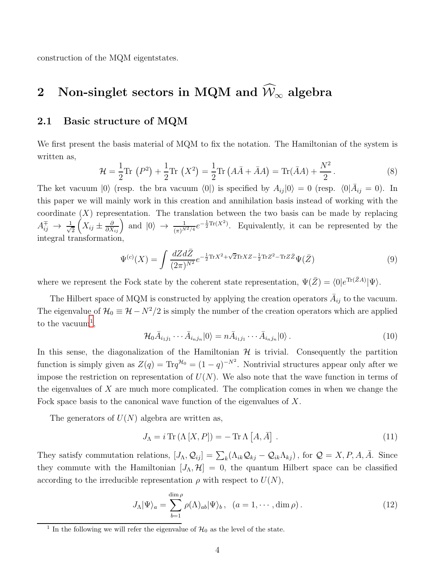<span id="page-4-0"></span>construction of the MQM eigentstates.

# 2 Non-singlet sectors in MQM and  $\hat{W}_{\infty}$  algebra

#### 2.1 Basic structure of MQM

We first present the basis material of MQM to fix the notation. The Hamiltonian of the system is written as,

$$
\mathcal{H} = \frac{1}{2} \text{Tr} \left( P^2 \right) + \frac{1}{2} \text{Tr} \left( X^2 \right) = \frac{1}{2} \text{Tr} \left( A \bar{A} + \bar{A} A \right) = \text{Tr} (\bar{A} A) + \frac{N^2}{2} \,. \tag{8}
$$

The ket vacuum  $|0\rangle$  (resp. the bra vacuum  $\langle 0|$ ) is specified by  $A_{ij}|0\rangle = 0$  (resp.  $\langle 0|\bar{A}_{ij} = 0$ ). In this paper we will mainly work in this creation and annihilation basis instead of working with the coordinate  $(X)$  representation. The translation between the two basis can be made by replacing  $A_{ij}^{\mp} \rightarrow \frac{1}{\sqrt{2}}$ 2  $(X_{ij} \pm \frac{\partial}{\partial X_{ij}})$  and  $|0\rangle \rightarrow \frac{1}{(\pi)^{N^2/4}} e^{-\frac{1}{2}\text{Tr}(X^2)}$ . Equivalently, it can be represented by the integral transformation,

<span id="page-4-2"></span>
$$
\Psi^{(c)}(X) = \int \frac{dZ d\bar{Z}}{(2\pi)^{N^2}} e^{-\frac{1}{2}\text{Tr}X^2 + \sqrt{2}\text{Tr}XZ - \frac{1}{2}\text{Tr}Z^2 - \text{Tr}Z\bar{Z}} \Psi(\bar{Z})
$$
\n(9)

where we represent the Fock state by the coherent state representation,  $\Psi(\bar{Z}) = \langle 0 | e^{\text{Tr}(\bar{Z}A)} | \Psi \rangle$ .

The Hilbert space of MQM is constructed by applying the creation operators  $\bar{A}_{ij}$  to the vacuum. The eigenvalue of  $\mathcal{H}_0 \equiv \mathcal{H} - N^2/2$  is simply the number of the creation operators which are applied to the vacuum<sup>[1](#page-4-1)</sup>,

$$
\mathcal{H}_0 \bar{A}_{i_1 j_1} \cdots \bar{A}_{i_n j_n} |0\rangle = n \bar{A}_{i_1 j_1} \cdots \bar{A}_{i_n j_n} |0\rangle. \qquad (10)
$$

In this sense, the diagonalization of the Hamiltonian  $H$  is trivial. Consequently the partition function is simply given as  $Z(q) = \text{Tr}q^{\mathcal{H}_0} = (1 - q)^{-N^2}$ . Nontrivial structures appear only after we impose the restriction on representation of  $U(N)$ . We also note that the wave function in terms of the eigenvalues of  $X$  are much more complicated. The complication comes in when we change the Fock space basis to the canonical wave function of the eigenvalues of X.

The generators of  $U(N)$  algebra are written as,

$$
J_{\Lambda} = i \operatorname{Tr} (\Lambda [X, P]) = - \operatorname{Tr} \Lambda [A, \bar{A}]. \qquad (11)
$$

They satisfy commutation relations,  $[J_{\Lambda}, \mathcal{Q}_{ij}] = \sum_{k} (\Lambda_{ik} \mathcal{Q}_{kj} - \mathcal{Q}_{ik} \Lambda_{kj})$ , for  $\mathcal{Q} = X, P, A, \bar{A}$ . Since they commute with the Hamiltonian  $[J_{\Lambda}, \mathcal{H}] = 0$ , the quantum Hilbert space can be classified according to the irreducible representation  $\rho$  with respect to  $U(N)$ ,

$$
J_{\Lambda}|\Psi\rangle_a = \sum_{b=1}^{\dim \rho} \rho(\Lambda)_{ab}|\Psi\rangle_b, \quad (a = 1, \cdots, \dim \rho).
$$
 (12)

<span id="page-4-1"></span><sup>&</sup>lt;sup>1</sup> In the following we will refer the eigenvalue of  $\mathcal{H}_0$  as the level of the state.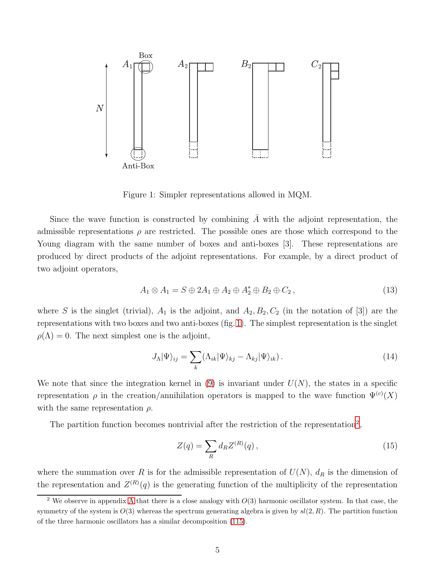

<span id="page-5-0"></span>Figure 1: Simpler representations allowed in MQM.

Since the wave function is constructed by combining  $\overline{A}$  with the adjoint representation, the admissible representations  $\rho$  are restricted. The possible ones are those which correspond to the Young diagram with the same number of boxes and anti-boxes [3]. These representations are produced by direct products of the adjoint representations. For example, by a direct product of two adjoint operators,

$$
A_1 \otimes A_1 = S \oplus 2A_1 \oplus A_2 \oplus A_2^* \oplus B_2 \oplus C_2, \qquad (13)
$$

where S is the singlet (trivial),  $A_1$  is the adjoint, and  $A_2, B_2, C_2$  (in the notation of [3]) are the representations with two boxes and two anti-boxes (fig. [1\)](#page-5-0). The simplest representation is the singlet  $\rho(\Lambda) = 0$ . The next simplest one is the adjoint,

$$
J_{\Lambda}|\Psi\rangle_{ij} = \sum_{k} (\Lambda_{ik}|\Psi\rangle_{kj} - \Lambda_{kj}|\Psi\rangle_{ik}). \qquad (14)
$$

We note that since the integration kernel in [\(9\)](#page-4-2) is invariant under  $U(N)$ , the states in a specific representation  $\rho$  in the creation/annihilation operators is mapped to the wave function  $\Psi^{(c)}(X)$ with the same representation  $\rho$ .

The partition function becomes nontrivial after the restriction of the representation<sup>[2](#page-5-1)</sup>,

<span id="page-5-2"></span>
$$
Z(q) = \sum_{R} d_{R} Z^{(R)}(q) , \qquad (15)
$$

where the summation over R is for the admissible representation of  $U(N)$ ,  $d<sub>R</sub>$  is the dimension of the representation and  $Z^{(R)}(q)$  is the generating function of the multiplicity of the representation

<span id="page-5-1"></span><sup>&</sup>lt;sup>2</sup> We observe in appendix [A](#page-28-0) that there is a close analogy with  $O(3)$  harmonic oscillator system. In that case, the symmetry of the system is  $O(3)$  whereas the spectrum generating algebra is given by  $sl(2, R)$ . The partition function of the three harmonic oscillators has a similar decomposition [\(115\)](#page-29-0).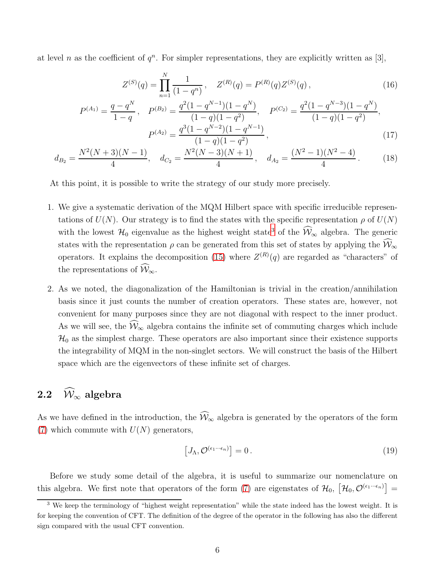at level n as the coefficient of  $q^n$ . For simpler representations, they are explicitly written as [3],

<span id="page-6-3"></span><span id="page-6-2"></span>
$$
Z^{(S)}(q) = \prod_{n=1}^{N} \frac{1}{(1-q^n)}, \quad Z^{(R)}(q) = P^{(R)}(q) Z^{(S)}(q), \tag{16}
$$

$$
P^{(A_1)} = \frac{q - q^N}{1 - q}, \quad P^{(B_2)} = \frac{q^2 (1 - q^{N-1})(1 - q^N)}{(1 - q)(1 - q^2)}, \quad P^{(C_2)} = \frac{q^2 (1 - q^{N-3})(1 - q^N)}{(1 - q)(1 - q^2)},
$$

$$
P^{(A_2)} = \frac{q^3 (1 - q^{N-2})(1 - q^{N-1})}{(1 - q)(1 - q^2)}, \quad (17)
$$

$$
d_{B_2} = \frac{N^2(N+3)(N-1)}{4}, \quad d_{C_2} = \frac{N^2(N-3)(N+1)}{4}, \quad d_{A_2} = \frac{(N^2-1)(N^2-4)}{4}.
$$
 (18)

At this point, it is possible to write the strategy of our study more precisely.

- 1. We give a systematic derivation of the MQM Hilbert space with specific irreducible representations of  $U(N)$ . Our strategy is to find the states with the specific representation  $\rho$  of  $U(N)$ with the lowest  $\mathcal{H}_0$  eigenvalue as the highest weight state<sup>[3](#page-6-0)</sup> of the  $\mathcal{W}_{\infty}$  algebra. The generic states with the representation  $\rho$  can be generated from this set of states by applying the  $\hat{W}_{\infty}$ operators. It explains the decomposition [\(15\)](#page-5-2) where  $Z^{(R)}(q)$  are regarded as "characters" of the representations of  $\widehat{\mathcal{W}}_{\infty}$ .
- 2. As we noted, the diagonalization of the Hamiltonian is trivial in the creation/annihilation basis since it just counts the number of creation operators. These states are, however, not convenient for many purposes since they are not diagonal with respect to the inner product. As we will see, the  $\widehat{\mathcal{W}}_{\infty}$  algebra contains the infinite set of commuting charges which include  $\mathcal{H}_0$  as the simplest charge. These operators are also important since their existence supports the integrability of MQM in the non-singlet sectors. We will construct the basis of the Hilbert space which are the eigenvectors of these infinite set of charges.

## 2.2  $\widehat{\mathcal{W}}_{\infty}$  algebra

As we have defined in the introduction, the  $\widehat{W}_{\infty}$  algebra is generated by the operators of the form [\(7\)](#page-2-0) which commute with  $U(N)$  generators,

<span id="page-6-1"></span>
$$
\left[J_{\Lambda}, \mathcal{O}^{(\epsilon_1 \cdots \epsilon_n)}\right] = 0. \tag{19}
$$

Before we study some detail of the algebra, it is useful to summarize our nomenclature on this algebra. We first note that operators of the form [\(7\)](#page-2-0) are eigenstates of  $\mathcal{H}_0$ ,  $[\mathcal{H}_0, \mathcal{O}^{(\epsilon_1 \cdots \epsilon_n)}] =$ 

<span id="page-6-0"></span><sup>&</sup>lt;sup>3</sup> We keep the terminology of "highest weight representation" while the state indeed has the lowest weight. It is for keeping the convention of CFT. The definition of the degree of the operator in the following has also the different sign compared with the usual CFT convention.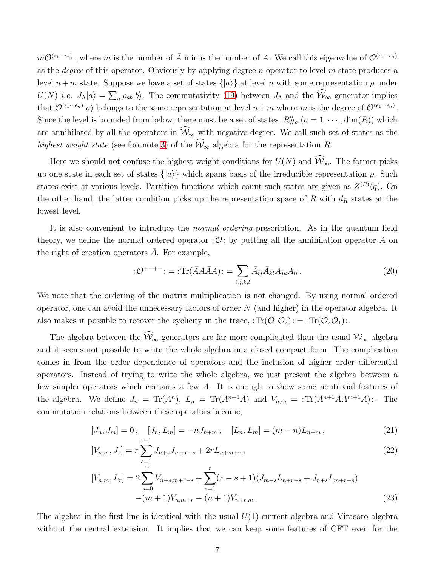$m\mathcal{O}^{(\epsilon_1\cdots\epsilon_n)}$ , where m is the number of  $\bar{A}$  minus the number of A. We call this eigenvalue of  $\mathcal{O}^{(\epsilon_1\cdots\epsilon_n)}$ as the *degree* of this operator. Obviously by applying degree n operator to level m state produces a level  $n+m$  state. Suppose we have a set of states  $\{|a\rangle\}$  at level n with some representation  $\rho$  under  $U(N)$  *i.e.*  $J_{\Lambda}|a\rangle = \sum_{a} \rho_{ab}|b\rangle$ . The commutativity [\(19\)](#page-6-1) between  $J_{\Lambda}$  and the  $\widehat{W}_{\infty}$  generator implies that  $\mathcal{O}^{(\epsilon_1 \cdots \epsilon_n)}|a\rangle$  belongs to the same representation at level  $n+m$  where m is the degree of  $\mathcal{O}^{(\epsilon_1 \cdots \epsilon_n)}$ . Since the level is bounded from below, there must be a set of states  $|R\rangle_a$   $(a = 1, \dots, \text{dim}(R))$  which are annihilated by all the operators in  $\widehat{W}_{\infty}$  with negative degree. We call such set of states as the highest weight state (see footnote [3\)](#page-6-0) of the  $\widehat{W}_{\infty}$  algebra for the representation R.

Here we should not confuse the highest weight conditions for  $U(N)$  and  $\widehat{W}_{\infty}$ . The former picks up one state in each set of states  $\{|a\rangle\}$  which spans basis of the irreducible representation  $\rho$ . Such states exist at various levels. Partition functions which count such states are given as  $Z^{(R)}(q)$ . On the other hand, the latter condition picks up the representation space of  $R$  with  $d_R$  states at the lowest level.

It is also convenient to introduce the normal ordering prescription. As in the quantum field theory, we define the normal ordered operator :  $\mathcal{O}$ : by putting all the annihilation operator A on the right of creation operators  $A$ . For example,

$$
:\mathcal{O}^{+-+-}: = \text{Tr}(\bar{A}A\bar{A}A) := \sum_{i,j,k,l} \bar{A}_{ij}\bar{A}_{kl}A_{jk}A_{li}.
$$
 (20)

We note that the ordering of the matrix multiplication is not changed. By using normal ordered operator, one can avoid the unnecessary factors of order  $N$  (and higher) in the operator algebra. It also makes it possible to recover the cyclicity in the trace,  $:Tr(\mathcal{O}_1\mathcal{O}_2):=Tr(\mathcal{O}_2\mathcal{O}_1):$ .

The algebra between the  $\widehat{W}_{\infty}$  generators are far more complicated than the usual  $\mathcal{W}_{\infty}$  algebra and it seems not possible to write the whole algebra in a closed compact form. The complication comes in from the order dependence of operators and the inclusion of higher order differential operators. Instead of trying to write the whole algebra, we just present the algebra between a few simpler operators which contains a few A. It is enough to show some nontrivial features of the algebra. We define  $J_n = \text{Tr}(\bar{A}^n)$ ,  $L_n = \text{Tr}(\bar{A}^{n+1}A)$  and  $V_{n,m} = \text{Tr}(\bar{A}^{n+1}A\bar{A}^{m+1}A)$ :. The commutation relations between these operators become,

<span id="page-7-0"></span>
$$
[J_n, J_m] = 0, \quad [J_n, L_m] = -nJ_{n+m}, \quad [L_n, L_m] = (m-n)L_{n+m}, \tag{21}
$$

$$
[V_{n,m}, J_r] = r \sum_{s=1}^{r-1} J_{n+s} J_{m+r-s} + 2r L_{n+m+r}, \qquad (22)
$$

$$
[V_{n,m}, L_r] = 2 \sum_{s=0}^{r} V_{n+s,m+r-s} + \sum_{s=1}^{r} (r-s+1) (J_{m+s} L_{n+r-s} + J_{n+s} L_{m+r-s})
$$
  
-(m+1)V\_{n,m+r} - (n+1)V\_{n+r,m}. (23)

The algebra in the first line is identical with the usual  $U(1)$  current algebra and Virasoro algebra without the central extension. It implies that we can keep some features of CFT even for the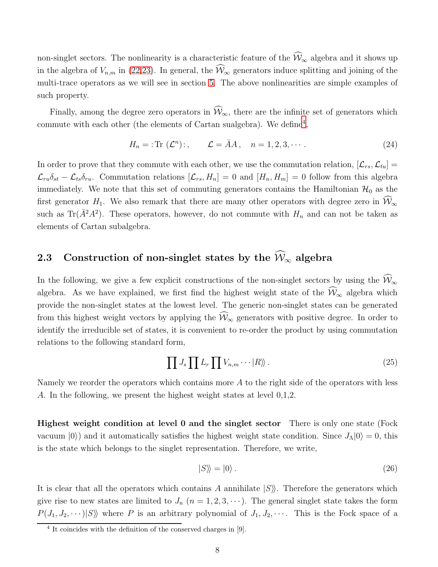non-singlet sectors. The nonlinearity is a characteristic feature of the  $\widehat{W}_{\infty}$  algebra and it shows up in the algebra of  $V_{n,m}$  in [\(22,23\)](#page-7-0). In general, the  $\widehat{W}_{\infty}$  generators induce splitting and joining of the multi-trace operators as we will see in section [5.](#page-18-0) The above nonlinearities are simple examples of such property.

Finally, among the degree zero operators in  $\widehat{\mathcal{W}}_{\infty}$ , there are the infinite set of generators which commute with each other (the elements of Cartan sualgebra). We define<sup>[4](#page-8-0)</sup>,

$$
H_n =: \text{Tr } (\mathcal{L}^n):, \qquad \mathcal{L} = \bar{A}A, \quad n = 1, 2, 3, \cdots. \tag{24}
$$

In order to prove that they commute with each other, we use the commutation relation,  $[\mathcal{L}_{rs}, \mathcal{L}_{tu}] =$  $\mathcal{L}_{ru}\delta_{st} - \mathcal{L}_{ts}\delta_{ru}$ . Commutation relations  $[\mathcal{L}_{rs}, H_n] = 0$  and  $[H_n, H_m] = 0$  follow from this algebra immediately. We note that this set of commuting generators contains the Hamiltonian  $\mathcal{H}_0$  as the first generator  $H_1$ . We also remark that there are many other operators with degree zero in  $\widehat{W}_{\infty}$ such as Tr( $\bar{A}^2A^2$ ). These operators, however, do not commute with  $H_n$  and can not be taken as elements of Cartan subalgebra.

## 2.3 Construction of non-singlet states by the  $\widehat{\mathcal{W}}_{\infty}$  algebra

In the following, we give a few explicit constructions of the non-singlet sectors by using the  $\widehat{\mathcal{W}}_{\infty}$ algebra. As we have explained, we first find the highest weight state of the  $\widehat{\mathcal{W}}_{\infty}$  algebra which provide the non-singlet states at the lowest level. The generic non-singlet states can be generated from this highest weight vectors by applying the  $\widehat{W}_{\infty}$  generators with positive degree. In order to identify the irreducible set of states, it is convenient to re-order the product by using commutation relations to the following standard form,

$$
\prod J_s \prod L_r \prod V_{n,m} \cdots |R\rangle\!\rangle.
$$
\n(25)

Namely we reorder the operators which contains more  $A$  to the right side of the operators with less A. In the following, we present the highest weight states at level 0,1,2.

Highest weight condition at level 0 and the singlet sector There is only one state (Fock vacuum  $|0\rangle$ ) and it automatically satisfies the highest weight state condition. Since  $J_{\Lambda}|0\rangle = 0$ , this is the state which belongs to the singlet representation. Therefore, we write,

$$
|S\rangle\!\rangle = |0\rangle. \tag{26}
$$

It is clear that all the operators which contains A annihilate  $|S\rangle$ . Therefore the generators which give rise to new states are limited to  $J_n$   $(n = 1, 2, 3, \cdots)$ . The general singlet state takes the form  $P(J_1, J_2, \cdots) |S\rangle$  where P is an arbitrary polynomial of  $J_1, J_2, \cdots$ . This is the Fock space of a

<span id="page-8-0"></span><sup>4</sup> It coincides with the definition of the conserved charges in [9].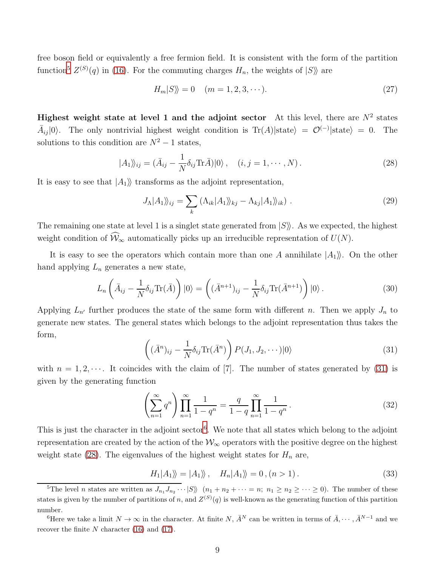free boson field or equivalently a free fermion field. It is consistent with the form of the partition function<sup>[5](#page-9-0)</sup>  $Z^{(S)}(q)$  in [\(16\)](#page-6-2). For the commuting charges  $H_n$ , the weights of  $|S\rangle$  are

$$
H_m|S\rangle = 0 \quad (m = 1, 2, 3, \cdots). \tag{27}
$$

Highest weight state at level 1 and the adjoint sector At this level, there are  $N^2$  states  $\bar{A}_{ij}|0\rangle$ . The only nontrivial highest weight condition is Tr(A)|state $\rangle = \mathcal{O}^{(-)}|$ state $\rangle = 0$ . The solutions to this condition are  $N^2 - 1$  states,

<span id="page-9-3"></span>
$$
|A_1\rangle_{ij} = (\bar{A}_{ij} - \frac{1}{N}\delta_{ij}\text{Tr}\bar{A})|0\rangle, \quad (i, j = 1, \cdots, N).
$$
 (28)

It is easy to see that  $|A_1\rangle$  transforms as the adjoint representation,

$$
J_{\Lambda}|A_{1}\rangle\!\rangle_{ij} = \sum_{k} (\Lambda_{ik}|A_{1}\rangle\!\rangle_{kj} - \Lambda_{kj}|A_{1}\rangle\!\rangle_{ik}). \tag{29}
$$

The remaining one state at level 1 is a singlet state generated from  $|S\rangle$ . As we expected, the highest weight condition of  $\widehat{\mathcal{W}}_{\infty}$  automatically picks up an irreducible representation of  $U(N)$ .

It is easy to see the operators which contain more than one A annihilate  $|A_1\rangle$ . On the other hand applying  $L_n$  generates a new state,

$$
L_n\left(\bar{A}_{ij} - \frac{1}{N}\delta_{ij}\text{Tr}(\bar{A})\right)|0\rangle = \left((\bar{A}^{n+1})_{ij} - \frac{1}{N}\delta_{ij}\text{Tr}(\bar{A}^{n+1})\right)|0\rangle.
$$
\n(30)

Applying  $L_{n'}$  further produces the state of the same form with different n. Then we apply  $J_n$  to generate new states. The general states which belongs to the adjoint representation thus takes the form,

<span id="page-9-1"></span>
$$
\left( (\bar{A}^n)_{ij} - \frac{1}{N} \delta_{ij} \text{Tr}(\bar{A}^n) \right) P(J_1, J_2, \cdots) |0\rangle \tag{31}
$$

with  $n = 1, 2, \dots$ . It coincides with the claim of [7]. The number of states generated by [\(31\)](#page-9-1) is given by the generating function

$$
\left(\sum_{n=1}^{\infty} q^n\right) \prod_{n=1}^{\infty} \frac{1}{1-q^n} = \frac{q}{1-q} \prod_{n=1}^{\infty} \frac{1}{1-q^n}.
$$
\n(32)

This is just the character in the adjoint sector<sup>[6](#page-9-2)</sup>. We note that all states which belong to the adjoint representation are created by the action of the  $\mathcal{W}_{\infty}$  operators with the positive degree on the highest weight state [\(28\)](#page-9-3). The eigenvalues of the highest weight states for  $H_n$  are,

$$
H_1|A_1\rangle\!\rangle = |A_1\rangle\!\rangle \,, \quad H_n|A_1\rangle\!\rangle = 0, (n > 1) \,. \tag{33}
$$

<span id="page-9-0"></span><sup>&</sup>lt;sup>5</sup>The level *n* states are written as  $J_{n_1}J_{n_2}\cdots|S\rangle\$   $(n_1+n_2+\cdots=n; n_1 \ge n_2 \ge \cdots \ge 0)$ . The number of these states is given by the number of partitions of n, and  $Z^{(S)}(q)$  is well-known as the generating function of this partition number.

<span id="page-9-2"></span><sup>&</sup>lt;sup>6</sup>Here we take a limit  $N \to \infty$  in the character. At finite  $N, \overline{A}^N$  can be written in terms of  $\overline{A}, \cdots, \overline{A}^{N-1}$  and we recover the finite  $N$  character [\(16\)](#page-6-2) and [\(17\)](#page-6-3).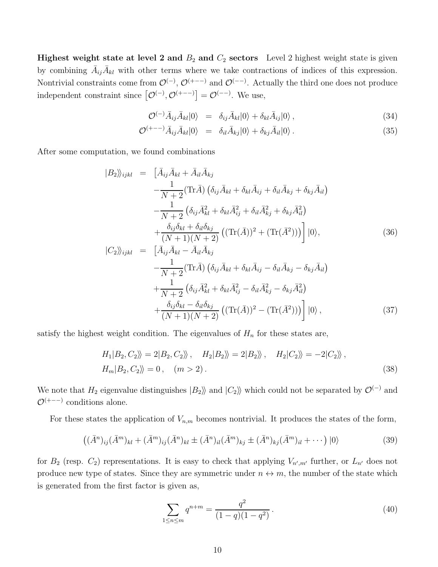**Highest weight state at level 2 and**  $B_2$  **and**  $C_2$  **sectors** Level 2 highest weight state is given by combining  $\bar{A}_{ij}\bar{A}_{kl}$  with other terms where we take contractions of indices of this expression. Nontrivial constraints come from  $\mathcal{O}^{(-)}$ ,  $\mathcal{O}^{(+-)}$  and  $\mathcal{O}^{(-)}$ . Actually the third one does not produce independent constraint since  $[\mathcal{O}^{(-)}, \mathcal{O}^{(+--)}] = \mathcal{O}^{(-)}$ . We use,

$$
\mathcal{O}^{(-)}\bar{A}_{ij}\bar{A}_{kl}|0\rangle = \delta_{ij}\bar{A}_{kl}|0\rangle + \delta_{kl}\bar{A}_{ij}|0\rangle, \qquad (34)
$$

$$
\mathcal{O}^{(+-)}\bar{A}_{ij}\bar{A}_{kl}|0\rangle = \delta_{il}\bar{A}_{kj}|0\rangle + \delta_{kj}\bar{A}_{il}|0\rangle. \tag{35}
$$

After some computation, we found combinations

$$
|B_2\rangle_{ijkl} = \left[\bar{A}_{ij}\bar{A}_{kl} + \bar{A}_{il}\bar{A}_{kj}\right]
$$
  
\n
$$
-\frac{1}{N+2}(\text{Tr}\bar{A})\left(\delta_{ij}\bar{A}_{kl} + \delta_{kl}\bar{A}_{ij} + \delta_{il}\bar{A}_{kj} + \delta_{kj}\bar{A}_{il}\right)
$$
  
\n
$$
-\frac{1}{N+2}\left(\delta_{ij}\bar{A}_{kl}^2 + \delta_{kl}\bar{A}_{ij}^2 + \delta_{il}\bar{A}_{kj}^2 + \delta_{kj}\bar{A}_{il}^2\right)
$$
  
\n
$$
+\frac{\delta_{ij}\delta_{kl} + \delta_{il}\delta_{kj}}{(N+1)(N+2)}\left((\text{Tr}(\bar{A}))^2 + (\text{Tr}(\bar{A}^2))\right)|0\rangle,
$$
  
\n
$$
|C_2\rangle_{ijkl} = [\bar{A}_{ij}\bar{A}_{kl} - \bar{A}_{il}\bar{A}_{ki}]
$$
 (36)

$$
|C_2\rangle_{ijkl} = \left[ \bar{A}_{ij}\bar{A}_{kl} - \bar{A}_{il}\bar{A}_{kj} - \frac{1}{N+2}(\text{Tr}\bar{A})\left(\delta_{ij}\bar{A}_{kl} + \delta_{kl}\bar{A}_{ij} - \delta_{il}\bar{A}_{kj} - \delta_{kj}\bar{A}_{il}\right) \right. \\
\left. + \frac{1}{N+2}\left(\delta_{ij}\bar{A}_{kl}^2 + \delta_{kl}\bar{A}_{ij}^2 - \delta_{il}\bar{A}_{kj}^2 - \delta_{kj}\bar{A}_{il}^2\right) \\
\left. + \frac{\delta_{ij}\delta_{kl} - \delta_{il}\delta_{kj}}{(N+1)(N+2)}\left((\text{Tr}(\bar{A}))^2 - (\text{Tr}(\bar{A}^2))\right) \right] |0\rangle ,
$$
\n(37)

satisfy the highest weight condition. The eigenvalues of  $H_n$  for these states are,

$$
H_1|B_2, C_2\rangle = 2|B_2, C_2\rangle, \quad H_2|B_2\rangle = 2|B_2\rangle, \quad H_2|C_2\rangle = -2|C_2\rangle,
$$
  

$$
H_m|B_2, C_2\rangle = 0, \quad (m > 2).
$$
 (38)

We note that  $H_2$  eigenvalue distinguishes  $|B_2\rangle$  and  $|C_2\rangle$  which could not be separated by  $\mathcal{O}^{(-)}$  and  $\mathcal{O}^{(+-)}$  conditions alone.

For these states the application of  $V_{n,m}$  becomes nontrivial. It produces the states of the form,

<span id="page-10-0"></span>
$$
((\bar{A}^n)_{ij}(\bar{A}^m)_{kl} + (\bar{A}^m)_{ij}(\bar{A}^n)_{kl} \pm (\bar{A}^n)_{il}(\bar{A}^m)_{kj} \pm (\bar{A}^n)_{kj}(\bar{A}^m)_{il} + \cdots) |0\rangle
$$
\n(39)

for  $B_2$  (resp.  $C_2$ ) representations. It is easy to check that applying  $V_{n',m'}$  further, or  $L_{n'}$  does not produce new type of states. Since they are symmetric under  $n \leftrightarrow m$ , the number of the state which is generated from the first factor is given as,

$$
\sum_{1 \le n \le m} q^{n+m} = \frac{q^2}{(1-q)(1-q^2)}.
$$
\n(40)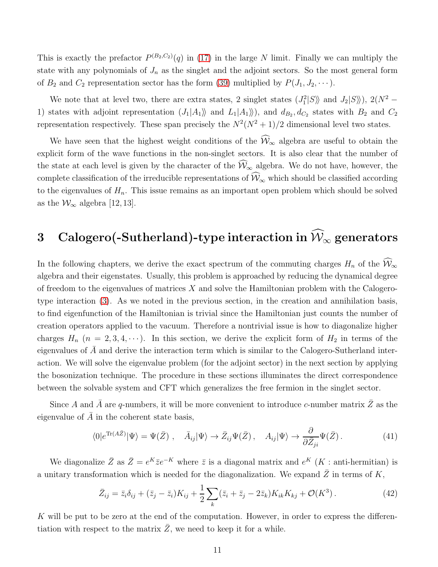This is exactly the prefactor  $P^{(B_2,C_2)}(q)$  in [\(17\)](#page-6-3) in the large N limit. Finally we can multiply the state with any polynomials of  $J_n$  as the singlet and the adjoint sectors. So the most general form of  $B_2$  and  $C_2$  representation sector has the form [\(39\)](#page-10-0) multiplied by  $P(J_1, J_2, \cdots)$ .

We note that at level two, there are extra states, 2 singlet states  $(J_1^2|S\rangle\rangle$  and  $J_2|S\rangle\rangle$ ),  $2(N^2 -$ 1) states with adjoint representation  $(J_1|A_1\rangle\$  and  $L_1|A_1\rangle\rangle$ , and  $d_{B_2}, d_{C_2}$  states with  $B_2$  and  $C_2$ representation respectively. These span precisely the  $N^2(N^2+1)/2$  dimensional level two states.

We have seen that the highest weight conditions of the  $\widehat{W}_{\infty}$  algebra are useful to obtain the explicit form of the wave functions in the non-singlet sectors. It is also clear that the number of the state at each level is given by the character of the  $\widehat{W}_{\infty}$  algebra. We do not have, however, the complete classification of the irreducible representations of  $\widehat{W}_{\infty}$  which should be classified according to the eigenvalues of  $H_n$ . This issue remains as an important open problem which should be solved as the  $\mathcal{W}_{\infty}$  algebra [12, 13].

# <span id="page-11-0"></span>3 Calogero(-Sutherland)-type interaction in  $\widehat{\mathcal{W}}_{\infty}$  generators

In the following chapters, we derive the exact spectrum of the commuting charges  $H_n$  of the  $\widehat{W}_{\infty}$ algebra and their eigenstates. Usually, this problem is approached by reducing the dynamical degree of freedom to the eigenvalues of matrices  $X$  and solve the Hamiltonian problem with the Calogerotype interaction [\(3\)](#page-1-0). As we noted in the previous section, in the creation and annihilation basis, to find eigenfunction of the Hamiltonian is trivial since the Hamiltonian just counts the number of creation operators applied to the vacuum. Therefore a nontrivial issue is how to diagonalize higher charges  $H_n$  ( $n = 2, 3, 4, \cdots$ ). In this section, we derive the explicit form of  $H_2$  in terms of the eigenvalues of  $\bar{A}$  and derive the interaction term which is similar to the Calogero-Sutherland interaction. We will solve the eigenvalue problem (for the adjoint sector) in the next section by applying the bosonization technique. The procedure in these sections illuminates the direct correspondence between the solvable system and CFT which generalizes the free fermion in the singlet sector.

Since A and  $\bar{A}$  are q-numbers, it will be more convenient to introduce c-number matrix  $\bar{Z}$  as the eigenvalue of  $\overline{A}$  in the coherent state basis,

$$
\langle 0|e^{\text{Tr}(A\bar{Z})}|\Psi\rangle = \Psi(\bar{Z})\ ,\quad \bar{A}_{ij}|\Psi\rangle \to \bar{Z}_{ij}\Psi(\bar{Z})\ ,\quad A_{ij}|\Psi\rangle \to \frac{\partial}{\partial \bar{Z}_{ji}}\Psi(\bar{Z})\ .\tag{41}
$$

We diagonalize  $\bar{Z}$  as  $\bar{Z}=e^{K}\bar{z}e^{-K}$  where  $\bar{z}$  is a diagonal matrix and  $e^{K}(K)$ : anti-hermitian) is a unitary transformation which is needed for the diagonalization. We expand  $\bar{Z}$  in terms of K,

$$
\bar{Z}_{ij} = \bar{z}_i \delta_{ij} + (\bar{z}_j - \bar{z}_i) K_{ij} + \frac{1}{2} \sum_k (\bar{z}_i + \bar{z}_j - 2\bar{z}_k) K_{ik} K_{kj} + \mathcal{O}(K^3) \,. \tag{42}
$$

K will be put to be zero at the end of the computation. However, in order to express the differentiation with respect to the matrix  $\overline{Z}$ , we need to keep it for a while.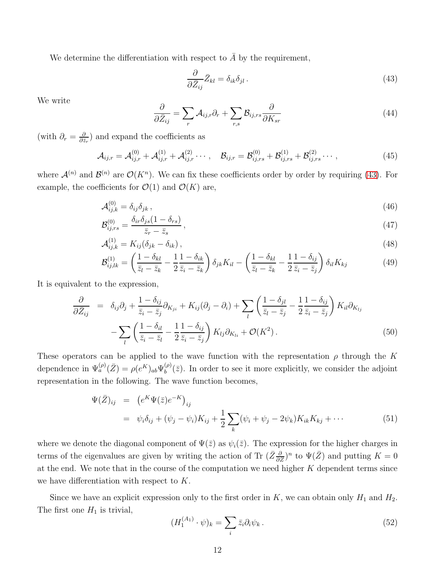We determine the differentiation with respect to  $\overline{A}$  by the requirement,

<span id="page-12-0"></span>
$$
\frac{\partial}{\partial \bar{Z}_{ij}} \bar{Z}_{kl} = \delta_{ik} \delta_{jl} \,. \tag{43}
$$

We write

$$
\frac{\partial}{\partial \bar{Z}_{ij}} = \sum_{r} \mathcal{A}_{ij,r} \partial_r + \sum_{r,s} \mathcal{B}_{ij,rs} \frac{\partial}{\partial K_{sr}} \tag{44}
$$

(with  $\partial_r = \frac{\partial}{\partial \bar{z}}$  $\frac{\partial}{\partial \bar{z}_r}$  and expand the coefficients as

$$
\mathcal{A}_{ij,r} = \mathcal{A}_{ij,r}^{(0)} + \mathcal{A}_{ij,r}^{(1)} + \mathcal{A}_{ij,r}^{(2)} \cdots, \quad \mathcal{B}_{ij,r} = \mathcal{B}_{ij,rs}^{(0)} + \mathcal{B}_{ij,rs}^{(1)} + \mathcal{B}_{ij,rs}^{(2)} \cdots,
$$
\n(45)

where  $\mathcal{A}^{(n)}$  and  $\mathcal{B}^{(n)}$  are  $\mathcal{O}(K^n)$ . We can fix these coefficients order by order by requiring [\(43\)](#page-12-0). For example, the coefficients for  $\mathcal{O}(1)$  and  $\mathcal{O}(K)$  are,

$$
\mathcal{A}_{ij,k}^{(0)} = \delta_{ij}\delta_{jk},\tag{46}
$$

$$
\mathcal{B}_{ij,rs}^{(0)} = \frac{\delta_{ir}\delta_{js}(1-\delta_{rs})}{\bar{z}_r - \bar{z}_s},\tag{47}
$$

$$
\mathcal{A}_{ij,k}^{(1)} = K_{ij} (\delta_{jk} - \delta_{ik}), \qquad (48)
$$

$$
\mathcal{B}_{ij,lk}^{(1)} = \left(\frac{1-\delta_{kl}}{\bar{z}_l - \bar{z}_k} - \frac{1}{2}\frac{1-\delta_{ik}}{\bar{z}_i - \bar{z}_k}\right)\delta_{jk}K_{il} - \left(\frac{1-\delta_{kl}}{\bar{z}_l - \bar{z}_k} - \frac{1}{2}\frac{1-\delta_{ij}}{\bar{z}_i - \bar{z}_j}\right)\delta_{il}K_{kj}
$$
(49)

It is equivalent to the expression,

$$
\frac{\partial}{\partial \bar{Z}_{ij}} = \delta_{ij}\partial_j + \frac{1 - \delta_{ij}}{\bar{z}_i - \bar{z}_j}\partial_{K_{ji}} + K_{ij}(\partial_j - \partial_i) + \sum_l \left(\frac{1 - \delta_{jl}}{\bar{z}_l - \bar{z}_j} - \frac{1}{2}\frac{1 - \delta_{ij}}{\bar{z}_i - \bar{z}_j}\right) K_{il}\partial_{K_{lj}}
$$

$$
-\sum_l \left(\frac{1 - \delta_{il}}{\bar{z}_i - \bar{z}_l} - \frac{1}{2}\frac{1 - \delta_{ij}}{\bar{z}_i - \bar{z}_j}\right) K_{lj}\partial_{K_{li}} + \mathcal{O}(K^2) \,. \tag{50}
$$

These operators can be applied to the wave function with the representation  $\rho$  through the K dependence in  $\Psi_a^{(\rho)}(\bar{Z}) = \rho(e^K)_{ab} \Psi_b^{(\rho)}$  $b^{(\rho)}(\bar{z})$ . In order to see it more explicitly, we consider the adjoint representation in the following. The wave function becomes,

$$
\Psi(\bar{Z})_{ij} = (e^K \Psi(\bar{z}) e^{-K})_{ij}
$$
  
=  $\psi_i \delta_{ij} + (\psi_j - \psi_i) K_{ij} + \frac{1}{2} \sum_k (\psi_i + \psi_j - 2\psi_k) K_{ik} K_{kj} + \cdots$  (51)

where we denote the diagonal component of  $\Psi(\bar{z})$  as  $\psi_i(\bar{z})$ . The expression for the higher charges in terms of the eigenvalues are given by writing the action of Tr  $(\bar{Z} \frac{\partial}{\partial \bar{Z}})^n$  to  $\Psi(\bar{Z})$  and putting  $K = 0$ at the end. We note that in the course of the computation we need higher  $K$  dependent terms since we have differentiation with respect to K.

Since we have an explicit expression only to the first order in  $K$ , we can obtain only  $H_1$  and  $H_2$ . The first one  $H_1$  is trivial,

$$
(H_1^{(A_1)} \cdot \psi)_k = \sum_i \bar{z}_i \partial_i \psi_k. \tag{52}
$$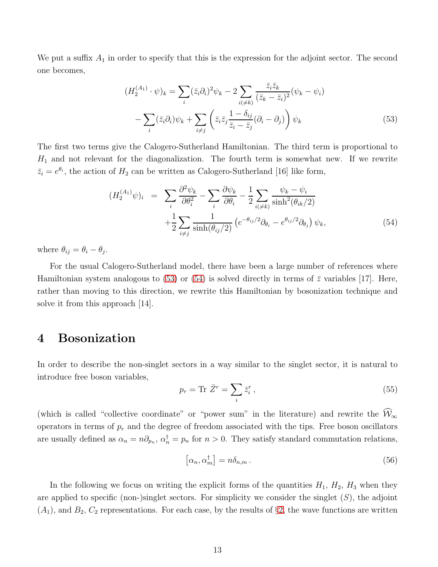We put a suffix  $A_1$  in order to specify that this is the expression for the adjoint sector. The second one becomes,

<span id="page-13-1"></span>
$$
(H_2^{(A_1)} \cdot \psi)_k = \sum_i (\bar{z}_i \partial_i)^2 \psi_k - 2 \sum_{i(\neq k)} \frac{\bar{z}_i \bar{z}_k}{(\bar{z}_k - \bar{z}_i)^2} (\psi_k - \psi_i)
$$

$$
- \sum_i (\bar{z}_i \partial_i) \psi_k + \sum_{i \neq j} \left( \bar{z}_i \bar{z}_j \frac{1 - \delta_{ij}}{\bar{z}_i - \bar{z}_j} (\partial_i - \partial_j) \right) \psi_k
$$
(53)

The first two terms give the Calogero-Sutherland Hamiltonian. The third term is proportional to  $H_1$  and not relevant for the diagonalization. The fourth term is somewhat new. If we rewrite  $\bar{z}_i = e^{\theta_i}$ , the action of  $H_2$  can be written as Calogero-Sutherland [16] like form,

<span id="page-13-2"></span>
$$
(H_2^{(A_1)}\psi)_i = \sum_i \frac{\partial^2 \psi_k}{\partial \theta_i^2} - \sum_i \frac{\partial \psi_k}{\partial \theta_i} - \frac{1}{2} \sum_{i(\neq k)} \frac{\psi_k - \psi_i}{\sinh^2(\theta_{ik}/2)}
$$

$$
+ \frac{1}{2} \sum_{i \neq j} \frac{1}{\sinh(\theta_{ij}/2)} \left( e^{-\theta_{ij}/2} \partial_{\theta_i} - e^{\theta_{ij}/2} \partial_{\theta_j} \right) \psi_k,
$$
(54)

where  $\theta_{ij} = \theta_i - \theta_j$ .

For the usual Calogero-Sutherland model, there have been a large number of references where Hamiltonian system analogous to [\(53\)](#page-13-1) or [\(54\)](#page-13-2) is solved directly in terms of  $\bar{z}$  variables [17]. Here, rather than moving to this direction, we rewrite this Hamiltonian by bosonization technique and solve it from this approach  $|14|$ .

### <span id="page-13-0"></span>4 Bosonization

In order to describe the non-singlet sectors in a way similar to the singlet sector, it is natural to introduce free boson variables,

$$
p_r = \text{Tr } \bar{Z}^r = \sum_i \bar{z}_i^r \,,\tag{55}
$$

(which is called "collective coordinate" or "power sum" in the literature) and rewrite the  $\widehat{\mathcal{W}}_{\infty}$ operators in terms of  $p_r$  and the degree of freedom associated with the tips. Free boson oscillators are usually defined as  $\alpha_n = n\partial_{p_n}$ ,  $\alpha_n^{\dagger} = p_n$  for  $n > 0$ . They satisfy standard commutation relations,

$$
\left[\alpha_n, \alpha_m^{\dagger}\right] = n\delta_{n,m} \,. \tag{56}
$$

In the following we focus on writing the explicit forms of the quantities  $H_1$ ,  $H_2$ ,  $H_3$  when they are applied to specific (non-)singlet sectors. For simplicity we consider the singlet  $(S)$ , the adjoint  $(A_1)$ , and  $B_2, C_2$  $B_2, C_2$  $B_2, C_2$  representations. For each case, by the results of §2, the wave functions are written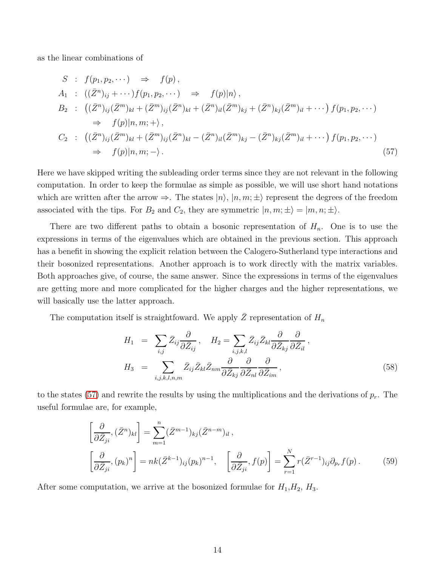as the linear combinations of

<span id="page-14-0"></span>
$$
S : f(p_1, p_2, \dots) \Rightarrow f(p),
$$
  
\n
$$
A_1 : ((\bar{Z}^n)_{ij} + \dots) f(p_1, p_2, \dots) \Rightarrow f(p)|n\rangle,
$$
  
\n
$$
B_2 : ((\bar{Z}^n)_{ij} (\bar{Z}^m)_{kl} + (\bar{Z}^m)_{ij} (\bar{Z}^n)_{kl} + (\bar{Z}^n)_{il} (\bar{Z}^m)_{kj} + (\bar{Z}^n)_{kj} (\bar{Z}^m)_{il} + \dots) f(p_1, p_2, \dots)
$$
  
\n
$$
\Rightarrow f(p)|n, m; + \rangle,
$$
  
\n
$$
C_2 : ((\bar{Z}^n)_{ij} (\bar{Z}^m)_{kl} + (\bar{Z}^m)_{ij} (\bar{Z}^n)_{kl} - (\bar{Z}^n)_{il} (\bar{Z}^m)_{kj} - (\bar{Z}^n)_{kj} (\bar{Z}^m)_{il} + \dots) f(p_1, p_2, \dots)
$$
  
\n
$$
\Rightarrow f(p)|n, m; - \rangle.
$$
  
\n(57)

Here we have skipped writing the subleading order terms since they are not relevant in the following computation. In order to keep the formulae as simple as possible, we will use short hand notations which are written after the arrow  $\Rightarrow$ . The states  $|n\rangle$ ,  $|n, m; \pm\rangle$  represent the degrees of the freedom associated with the tips. For  $B_2$  and  $C_2$ , they are symmetric  $|n, m; \pm\rangle = |m, n; \pm\rangle$ .

There are two different paths to obtain a bosonic representation of  $H_n$ . One is to use the expressions in terms of the eigenvalues which are obtained in the previous section. This approach has a benefit in showing the explicit relation between the Calogero-Sutherland type interactions and their bosonized representations. Another approach is to work directly with the matrix variables. Both approaches give, of course, the same answer. Since the expressions in terms of the eigenvalues are getting more and more complicated for the higher charges and the higher representations, we will basically use the latter approach.

The computation itself is straightfoward. We apply  $\bar{Z}$  representation of  $H_n$ 

$$
H_1 = \sum_{i,j} \bar{Z}_{ij} \frac{\partial}{\partial \bar{Z}_{ij}}, \quad H_2 = \sum_{i,j,k,l} \bar{Z}_{ij} \bar{Z}_{kl} \frac{\partial}{\partial \bar{Z}_{kj}} \frac{\partial}{\partial \bar{Z}_{il}},
$$
  

$$
H_3 = \sum_{i,j,k,l,n,m} \bar{Z}_{ij} \bar{Z}_{kl} \bar{Z}_{nm} \frac{\partial}{\partial \bar{Z}_{kj}} \frac{\partial}{\partial \bar{Z}_{nl}} \frac{\partial}{\partial \bar{Z}_{im}},
$$
(58)

to the states [\(57\)](#page-14-0) and rewrite the results by using the multiplications and the derivations of  $p_r$ . The useful formulae are, for example,

$$
\left[\frac{\partial}{\partial \bar{Z}_{ji}}, (\bar{Z}^n)_{kl}\right] = \sum_{m=1}^n (\bar{Z}^{m-1})_{kj} (\bar{Z}^{n-m})_{il},
$$
\n
$$
\left[\frac{\partial}{\partial \bar{Z}_{ji}}, (p_k)^n\right] = nk(\bar{Z}^{k-1})_{ij} (p_k)^{n-1}, \quad \left[\frac{\partial}{\partial \bar{Z}_{ji}}, f(p)\right] = \sum_{r=1}^N r(\bar{Z}^{r-1})_{ij} \partial_{p_r} f(p).
$$
\n(59)

After some computation, we arrive at the bosonized formulae for  $H_1, H_2, H_3$ .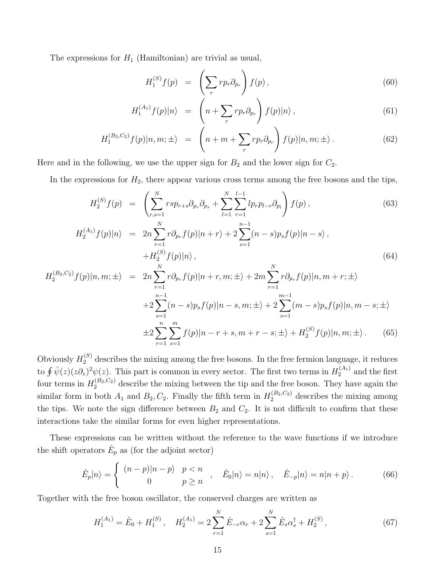The expressions for  $H_1$  (Hamiltonian) are trivial as usual,

<span id="page-15-0"></span>
$$
H_1^{(S)}f(p) = \left(\sum_r r p_r \partial_{p_r}\right) f(p), \qquad (60)
$$

$$
H_1^{(A_1)}f(p)|n\rangle = \left(n + \sum_r r p_r \partial_{p_r}\right) f(p)|n\rangle, \qquad (61)
$$

$$
H_1^{(B_2,C_2)}f(p)|n,m;\pm\rangle = \left(n+m+\sum_r rp_r \partial_{p_r}\right) f(p)|n,m;\pm\rangle. \tag{62}
$$

Here and in the following, we use the upper sign for  $B_2$  and the lower sign for  $C_2$ .

In the expressions for  $H_2$ , there appear various cross terms among the free bosons and the tips,

<span id="page-15-1"></span>
$$
H_2^{(S)}f(p) = \left(\sum_{r,s=1}^N rsp_{r+s}\partial_{p_r}\partial_{p_s} + \sum_{l=1}^N \sum_{r=1}^{l-1} lp_r p_{l-r}\partial_{p_l}\right) f(p),\tag{63}
$$

$$
H_2^{(A_1)}f(p)|n\rangle = 2n \sum_{r=1}^{N} r \partial_{p_r} f(p)|n+r\rangle + 2 \sum_{s=1}^{n-1} (n-s) p_s f(p)|n-s\rangle, + H_2^{(S)}f(p)|n\rangle,
$$
\n(64)

$$
H_2^{(B_2, C_2)} f(p | n, m; \pm \rangle = 2n \sum_{r=1}^N r \partial_{p_r} f(p | n + r, m; \pm \rangle + 2m \sum_{r=1}^N r \partial_{p_r} f(p | n, m + r; \pm \rangle
$$
  
+2 
$$
\sum_{s=1}^{n-1} (n - s) p_s f(p | n - s, m; \pm \rangle + 2 \sum_{s=1}^{m-1} (m - s) p_s f(p | n, m - s; \pm \rangle
$$
  

$$
\pm 2 \sum_{r=1}^n \sum_{s=1}^m f(p | n - r + s, m + r - s; \pm \rangle + H_2^{(S)} f(p | n, m; \pm \rangle. \tag{65}
$$

Obviously  $H_2^{(S)}$  describes the mixing among the free bosons. In the free fermion language, it reduces to  $\oint \bar{\psi}(z)(z\partial_z)^2 \psi(z)$ . This part is common in every sector. The first two terms in  $H_2^{(A_1)}$  $2^{(A_1)}$  and the first four terms in  $H_2^{(B_2,C_2)}$  describe the mixing between the tip and the free boson. They have again the similar form in both  $A_1$  and  $B_2, C_2$ . Finally the fifth term in  $H_2^{(B_2, C_2)}$  describes the mixing among the tips. We note the sign difference between  $B_2$  and  $C_2$ . It is not difficult to confirm that these interactions take the similar forms for even higher representations.

These expressions can be written without the reference to the wave functions if we introduce the shift operators  $\hat{E}_p$  as (for the adjoint sector)

$$
\hat{E}_p|n\rangle = \begin{cases}\n(n-p)|n-p\rangle & p < n \\
0 & p \ge n\n\end{cases}, \quad \hat{E}_0|n\rangle = n|n\rangle, \quad \hat{E}_{-p}|n\rangle = n|n+p\rangle.
$$
\n(66)

Together with the free boson oscillator, the conserved charges are written as

$$
H_1^{(A_1)} = \hat{E}_0 + H_1^{(S)}, \quad H_2^{(A_1)} = 2 \sum_{r=1}^N \hat{E}_{-r} \alpha_r + 2 \sum_{s=1}^N \hat{E}_s \alpha_s^{\dagger} + H_2^{(S)}, \tag{67}
$$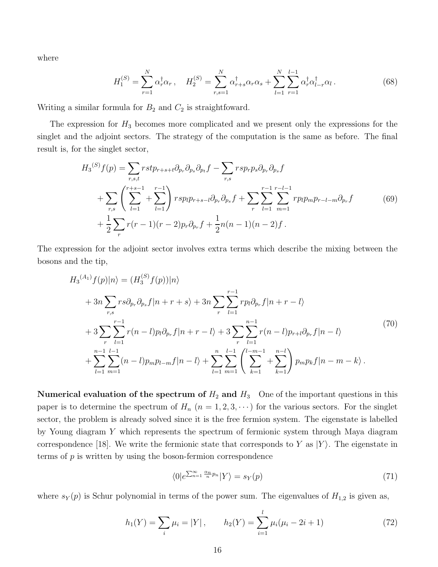where

$$
H_1^{(S)} = \sum_{r=1}^{N} \alpha_r^{\dagger} \alpha_r, \quad H_2^{(S)} = \sum_{r,s=1}^{N} \alpha_{r+s}^{\dagger} \alpha_r \alpha_s + \sum_{l=1}^{N} \sum_{r=1}^{l-1} \alpha_r^{\dagger} \alpha_{l-r}^{\dagger} \alpha_l.
$$
 (68)

Writing a similar formula for  $B_2$  and  $C_2$  is straightfoward.

The expression for  $H_3$  becomes more complicated and we present only the expressions for the singlet and the adjoint sectors. The strategy of the computation is the same as before. The final result is, for the singlet sector,

$$
H_3^{(S)}f(p) = \sum_{r,s,t} rstp_{r+s+t} \partial_{p_r} \partial_{p_s} \partial_{p_t} f - \sum_{r,s} rsp_rp_s \partial_{p_r} \partial_{p_s} f + \sum_{r,s} \left( \sum_{l=1}^{r+s-1} + \sum_{l=1}^{r-1} \right) rsp_lp_{r+s-l} \partial_{p_r} \partial_{p_s} f + \sum_{r} \sum_{l=1}^{r-1} \sum_{m=1}^{r-l-1} rppp_mp_{r-l-m} \partial_{p_r} f + \frac{1}{2} \sum_{r} r(r-1)(r-2)p_r \partial_{p_r} f + \frac{1}{2} n(n-1)(n-2)f.
$$
 (69)

The expression for the adjoint sector involves extra terms which describe the mixing between the bosons and the tip,

<span id="page-16-1"></span>
$$
H_3^{(A_1)}f(p)|n\rangle = (H_3^{(S)}f(p))|n\rangle
$$
  
+  $3n \sum_{r,s} rs \partial_{p_r} \partial_{p_s}f|n+r+s\rangle + 3n \sum_{r} \sum_{l=1}^{r-1} rp_l \partial_{p_r}f|n+r-l\rangle$   
+  $3 \sum_{r} \sum_{l=1}^{r-1} r(n-l)p_l \partial_{p_r}f|n+r-l\rangle + 3 \sum_{r} \sum_{l=1}^{n-1} r(n-l)p_{r+l}\partial_{p_r}f|n-l\rangle$   
+  $\sum_{l=1}^{n-1} \sum_{m=1}^{l-1} (n-l)p_mp_{l-m}f|n-l\rangle + \sum_{l=1}^{n} \sum_{m=1}^{l-1} \left(\sum_{k=1}^{l-m-1} + \sum_{k=1}^{n-l} \right) p_mp_nf|n-m-k\rangle.$  (70)

Numerical evaluation of the spectrum of  $H_2$  and  $H_3$  One of the important questions in this paper is to determine the spectrum of  $H_n$   $(n = 1, 2, 3, \cdots)$  for the various sectors. For the singlet sector, the problem is already solved since it is the free fermion system. The eigenstate is labelled by Young diagram Y which represents the spectrum of fermionic system through Maya diagram correspondence [18]. We write the fermionic state that corresponds to Y as  $|Y\rangle$ . The eigenstate in terms of  $p$  is written by using the boson-fermion correspondence

$$
\langle 0|e^{\sum_{n=1}^{\infty}\frac{\alpha_n}{n}p_n}|Y\rangle = s_Y(p) \tag{71}
$$

where  $s_Y(p)$  is Schur polynomial in terms of the power sum. The eigenvalues of  $H_{1,2}$  is given as,

<span id="page-16-0"></span>
$$
h_1(Y) = \sum_{i} \mu_i = |Y|, \qquad h_2(Y) = \sum_{i=1}^{l} \mu_i(\mu_i - 2i + 1) \tag{72}
$$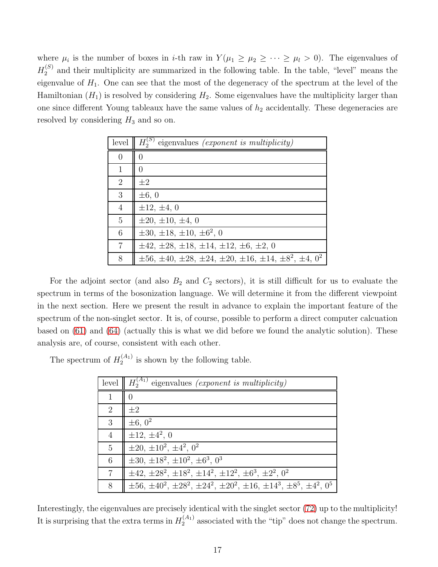where  $\mu_i$  is the number of boxes in *i*-th raw in  $Y(\mu_1 \ge \mu_2 \ge \cdots \ge \mu_l > 0)$ . The eigenvalues of  $H_2^{(S)}$  $2^{(3)}$  and their multiplicity are summarized in the following table. In the table, "level" means the eigenvalue of  $H_1$ . One can see that the most of the degeneracy of the spectrum at the level of the Hamiltonian  $(H_1)$  is resolved by considering  $H_2$ . Some eigenvalues have the multiplicity larger than one since different Young tableaux have the same values of  $h_2$  accidentally. These degeneracies are resolved by considering  $H_3$  and so on.

| level          | $\parallel H_2^{(S)}$ eigenvalues <i>(exponent is multiplicity)</i>           |
|----------------|-------------------------------------------------------------------------------|
| $\overline{0}$ |                                                                               |
|                |                                                                               |
| $\overline{2}$ | $\pm 2$                                                                       |
| 3              | $\pm 6, 0$                                                                    |
| 4              | $\pm 12, \pm 4, 0$                                                            |
| 5              | $\pm 20, \pm 10, \pm 4, 0$                                                    |
| 6              | $\pm 30, \pm 18, \pm 10, \pm 6^2, 0$                                          |
| 7              | $\pm 42, \pm 28, \pm 18, \pm 14, \pm 12, \pm 6, \pm 2, 0$                     |
| 8              | $\pm 56, \pm 40, \pm 28, \pm 24, \pm 20, \pm 16, \pm 14, \pm 8^2, \pm 4, 0^2$ |

For the adjoint sector (and also  $B_2$  and  $C_2$  sectors), it is still difficult for us to evaluate the spectrum in terms of the bosonization language. We will determine it from the different viewpoint in the next section. Here we present the result in advance to explain the important feature of the spectrum of the non-singlet sector. It is, of course, possible to perform a direct computer calcuation based on [\(61\)](#page-15-0) and [\(64\)](#page-15-1) (actually this is what we did before we found the analytic solution). These analysis are, of course, consistent with each other.

The spectrum of  $H_2^{(A_1)}$  $2^{(A_1)}$  is shown by the following table.

| level | $H_2^{(A_1)}$<br>eigenvalues (exponent is multiplicity)                                   |
|-------|-------------------------------------------------------------------------------------------|
| 1     |                                                                                           |
| 2     | $\pm 2$                                                                                   |
| 3     | $\pm 6, 0^2$                                                                              |
| 4     | $\pm 12, \pm 4^2, 0$                                                                      |
| 5     | $\pm 20, \pm 10^2, \pm 4^2, 0^2$                                                          |
| 6     | $\pm 30, \pm 18^2, \pm 10^2, \pm 6^3, 0^3$                                                |
| 7     | $\pm 42, \pm 28^2, \pm 18^2, \pm 14^2, \pm 12^2, \pm 6^3, \pm 2^2, 0^2$                   |
| 8     | $\pm 56, \pm 40^2, \pm 28^2, \pm 24^2, \pm 20^2, \pm 16, \pm 14^3, \pm 8^5, \pm 4^2, 0^5$ |

Interestingly, the eigenvalues are precisely identical with the singlet sector [\(72\)](#page-16-0) up to the multiplicity! It is surprising that the extra terms in  $H_2^{(A_1)}$  associated with the "tip" does not change the spectrum.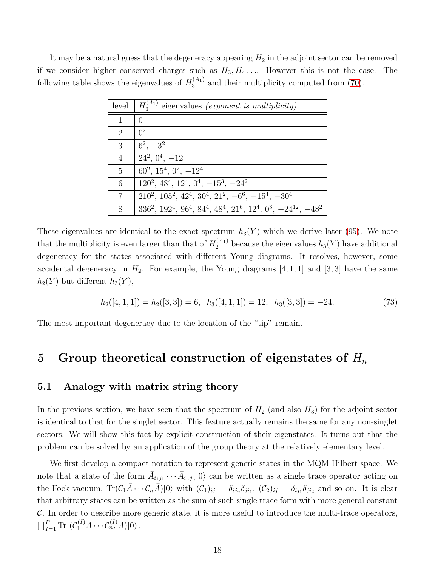It may be a natural guess that the degeneracy appearing  $H_2$  in the adjoint sector can be removed if we consider higher conserved charges such as  $H_3, H_4, \ldots$  However this is not the case. The following table shows the eigenvalues of  $H_3^{(A_1)}$  and their multiplicity computed from [\(70\)](#page-16-1).

| level          | $H_3^{(A_1)}$ eigenvalues <i>(exponent is multiplicity)</i>                                   |
|----------------|-----------------------------------------------------------------------------------------------|
| $\mathbf{1}$   | $\left( \right)$                                                                              |
| $\overline{2}$ | $\Omega^2$                                                                                    |
| 3              | $6^2$ , $-3^2$                                                                                |
| $\overline{4}$ | $\vert 24^2, 0^4, -12 \vert$                                                                  |
| $\overline{5}$ | $60^2$ , $15^4$ , $0^2$ , $-12^4$                                                             |
| 6              | $120^2$ , $48^4$ , $12^4$ , $0^4$ , $-15^3$ , $-24^2$                                         |
| 7              | $210^2$ , $105^2$ , $42^4$ , $30^4$ , $21^2$ , $-6^6$ , $-15^4$ , $-30^4$                     |
| 8              | $336^2$ , $192^4$ , $96^4$ , $84^4$ , $48^4$ , $21^6$ , $12^4$ , $0^3$ , $-24^{12}$ , $-48^2$ |

These eigenvalues are identical to the exact spectrum  $h_3(Y)$  which we derive later [\(95\)](#page-24-0). We note that the multiplicity is even larger than that of  $H_2^{(A_1)}$  because the eigenvalues  $h_3(Y)$  have additional degeneracy for the states associated with different Young diagrams. It resolves, however, some accidental degeneracy in  $H_2$ . For example, the Young diagrams [4, 1, 1] and [3, 3] have the same  $h_2(Y)$  but different  $h_3(Y)$ ,

$$
h_2([4, 1, 1]) = h_2([3, 3]) = 6, \quad h_3([4, 1, 1]) = 12, \quad h_3([3, 3]) = -24. \tag{73}
$$

<span id="page-18-0"></span>The most important degeneracy due to the location of the "tip" remain.

## 5 Group theoretical construction of eigenstates of  $H_n$

### 5.1 Analogy with matrix string theory

In the previous section, we have seen that the spectrum of  $H_2$  (and also  $H_3$ ) for the adjoint sector is identical to that for the singlet sector. This feature actually remains the same for any non-singlet sectors. We will show this fact by explicit construction of their eigenstates. It turns out that the problem can be solved by an application of the group theory at the relatively elementary level.

We first develop a compact notation to represent generic states in the MQM Hilbert space. We note that a state of the form  $\bar{A}_{i_1j_1}\cdots\bar{A}_{i_nj_n}|0\rangle$  can be written as a single trace operator acting on the Fock vacuum,  $\text{Tr}(\mathcal{C}_1 \overline{A} \cdots \mathcal{C}_n \overline{A})|0\rangle$  with  $(\mathcal{C}_1)_{ij} = \delta_{ij_1} \delta_{ji_1}$ ,  $(\mathcal{C}_2)_{ij} = \delta_{ij_1} \delta_{ji_2}$  and so on. It is clear that arbitrary states can be written as the sum of such single trace form with more general constant  $C$ . In order to describe more generic state, it is more useful to introduce the multi-trace operators,  $\prod_{I=1}^P \text{Tr} \left( \mathcal{C}_1^{(I)} \overline{A} \cdots \mathcal{C}_{n_I}^{(I)} \overline{A} \right) |0\rangle$ .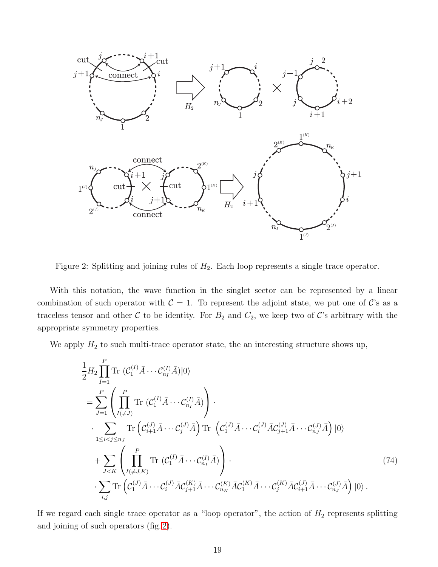

<span id="page-19-0"></span>Figure 2: Splitting and joining rules of  $H_2$ . Each loop represents a single trace operator.

With this notation, the wave function in the singlet sector can be represented by a linear combination of such operator with  $C = 1$ . To represent the adjoint state, we put one of C's as a traceless tensor and other  $C$  to be identity. For  $B_2$  and  $C_2$ , we keep two of  $C$ 's arbitrary with the appropriate symmetry properties.

We apply  $H_2$  to such multi-trace operator state, the an interesting structure shows up,

$$
\frac{1}{2} H_2 \prod_{I=1}^P \text{Tr} (C_1^{(I)} \bar{A} \cdots C_{n_I}^{(I)} \bar{A}) |0\rangle
$$
\n
$$
= \sum_{J=1}^P \left( \prod_{I \neq J}^P \text{Tr} (C_1^{(I)} \bar{A} \cdots C_{n_I}^{(I)} \bar{A}) \right) \cdot \sum_{1 \leq i < j \leq n_J} \text{Tr} \left( C_{i+1}^{(J)} \bar{A} \cdots C_j^{(J)} \bar{A} \right) \text{Tr} \left( C_1^{(J)} \bar{A} \cdots C_i^{(J)} \bar{A} C_{j+1}^{(J)} \bar{A} \cdots C_{n_J}^{(J)} \bar{A} \right) |0\rangle
$$
\n
$$
+ \sum_{J < K} \left( \prod_{I \neq J, K}^P \text{Tr} (C_1^{(I)} \bar{A} \cdots C_{n_I}^{(I)} \bar{A}) \right) \cdot \sum_{i,j} \text{Tr} \left( C_1^{(J)} \bar{A} \cdots C_i^{(J)} \bar{A} C_{j+1}^{(K)} \bar{A} \cdots C_j^{(K)} \bar{A} C_1^{(J)} \bar{A} \cdots C_{n_J}^{(J)} \bar{A} \right) |0\rangle. \tag{74}
$$

If we regard each single trace operator as a "loop operator", the action of  $H_2$  represents splitting and joining of such operators (fig. [2\)](#page-19-0).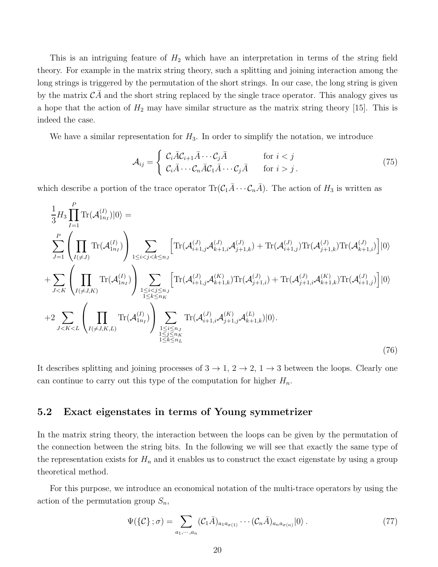This is an intriguing feature of  $H_2$  which have an interpretation in terms of the string field theory. For example in the matrix string theory, such a splitting and joining interaction among the long strings is triggered by the permutation of the short strings. In our case, the long string is given by the matrix  $CA$  and the short string replaced by the single trace operator. This analogy gives us a hope that the action of  $H_2$  may have similar structure as the matrix string theory [15]. This is indeed the case.

We have a similar representation for  $H_3$ . In order to simplify the notation, we introduce

$$
\mathcal{A}_{ij} = \begin{cases} \mathcal{C}_i \bar{A} \mathcal{C}_{i+1} \bar{A} \cdots \mathcal{C}_j \bar{A} & \text{for } i < j \\ \mathcal{C}_i \bar{A} \cdots \mathcal{C}_n \bar{A} \mathcal{C}_1 \bar{A} \cdots \mathcal{C}_j \bar{A} & \text{for } i > j \end{cases}
$$
(75)

which describe a portion of the trace operator  $\text{Tr}(\mathcal{C}_1 \overline{A} \cdots \mathcal{C}_n \overline{A})$ . The action of  $H_3$  is written as

$$
\frac{1}{3}H_{3}\prod_{I=1}^{P} \text{Tr}(\mathcal{A}_{1n_{I}}^{(I)})|0\rangle =
$$
\n
$$
\sum_{J=1}^{P} \left(\prod_{I(\neq J)} \text{Tr}(\mathcal{A}_{1n_{I}}^{(I)})\right) \sum_{1 \leq i < j < k \leq n_{J}} \left[\text{Tr}(\mathcal{A}_{i+1,j}^{(J)}\mathcal{A}_{k+1,i}^{(J)}\mathcal{A}_{j+1,k}^{(J)}) + \text{Tr}(\mathcal{A}_{i+1,j}^{(J)})\text{Tr}(\mathcal{A}_{j+1,k}^{(J)})\text{Tr}(\mathcal{A}_{k+1,i}^{(J)})\right]|0\rangle
$$
\n
$$
+ \sum_{J < K} \left(\prod_{I(\neq J,K)} \text{Tr}(\mathcal{A}_{1n_{I}}^{(I)})\right) \sum_{\substack{1 \leq i < j \leq n_{J} \\ 1 \leq k \leq n_{K}}} \left[\text{Tr}(\mathcal{A}_{i+1,j}^{(J)}\mathcal{A}_{k+1,k}^{(K)})\text{Tr}(\mathcal{A}_{j+1,i}^{(J)}) + \text{Tr}(\mathcal{A}_{j+1,i}^{(J)}\mathcal{A}_{k+1,k}^{(K)})\text{Tr}(\mathcal{A}_{i+1,j}^{(J)})\right]|0\rangle
$$
\n
$$
+ 2 \sum_{J < K < L} \left(\prod_{I(\neq J,K,L)} \text{Tr}(\mathcal{A}_{1n_{I}}^{(I)})\right) \sum_{\substack{1 \leq i \leq n_{J} \\ 1 \leq j \leq n_{K} \\ 1 \leq k \leq n_{L}}} \text{Tr}(\mathcal{A}_{i+1,i}^{(J)}\mathcal{A}_{j+1,j}^{(K)}\mathcal{A}_{k+1,k}^{(L)})|0\rangle.
$$
\n(76)

It describes splitting and joining processes of  $3 \to 1, 2 \to 2, 1 \to 3$  between the loops. Clearly one can continue to carry out this type of the computation for higher  $H_n$ .

### 5.2 Exact eigenstates in terms of Young symmetrizer

In the matrix string theory, the interaction between the loops can be given by the permutation of the connection between the string bits. In the following we will see that exactly the same type of the representation exists for  $H_n$  and it enables us to construct the exact eigenstate by using a group theoretical method.

For this purpose, we introduce an economical notation of the multi-trace operators by using the action of the permutation group  $S_n$ ,

$$
\Psi(\{\mathcal{C}\};\sigma) = \sum_{a_1,\cdots,a_n} (\mathcal{C}_1 \bar{A})_{a_1 a_{\sigma(1)}} \cdots (\mathcal{C}_n \bar{A})_{a_n a_{\sigma(n)}} |0\rangle.
$$
\n(77)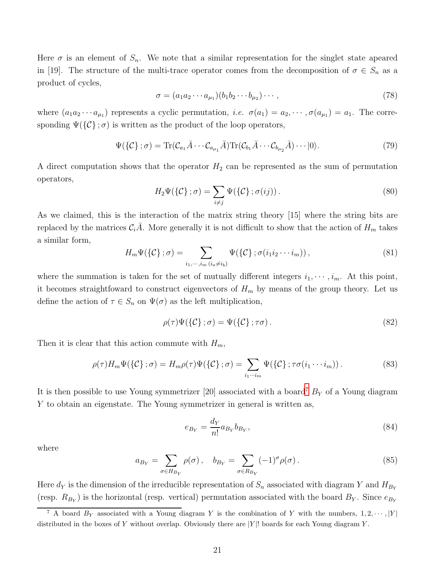Here  $\sigma$  is an element of  $S_n$ . We note that a similar representation for the singlet state apeared in [19]. The structure of the multi-trace operator comes from the decomposition of  $\sigma \in S_n$  as a product of cycles,

$$
\sigma = (a_1 a_2 \cdots a_{\mu_1})(b_1 b_2 \cdots b_{\mu_2}) \cdots,
$$
\n(78)

where  $(a_1a_2 \cdots a_{\mu_1})$  represents a cyclic permutation, *i.e.*  $\sigma(a_1) = a_2, \cdots, \sigma(a_{\mu_1}) = a_1$ . The corresponding  $\Psi(\{\mathcal{C}\};\sigma)$  is written as the product of the loop operators,

$$
\Psi(\{\mathcal{C}\};\sigma) = \text{Tr}(\mathcal{C}_{a_1}\bar{A}\cdots\mathcal{C}_{a_{\mu_1}}\bar{A})\text{Tr}(\mathcal{C}_{b_1}\bar{A}\cdots\mathcal{C}_{b_{\mu_2}}\bar{A})\cdots|0\rangle.
$$
\n(79)

A direct computation shows that the operator  $H_2$  can be represented as the sum of permutation operators,

$$
H_2\Psi(\{\mathcal{C}\};\sigma) = \sum_{i \neq j} \Psi(\{\mathcal{C}\};\sigma(ij)).
$$
\n(80)

As we claimed, this is the interaction of the matrix string theory [15] where the string bits are replaced by the matrices  $C_i\overline{A}$ . More generally it is not difficult to show that the action of  $H_m$  takes a similar form,

$$
H_m \Psi(\{\mathcal{C}\}; \sigma) = \sum_{i_1, \cdots, i_m \, (i_a \neq i_b)} \Psi(\{\mathcal{C}\}; \sigma(i_1 i_2 \cdots i_m)), \tag{81}
$$

where the summation is taken for the set of mutually different integers  $i_1, \dots, i_m$ . At this point, it becomes straightfoward to construct eigenvectors of  $H_m$  by means of the group theory. Let us define the action of  $\tau \in S_n$  on  $\Psi(\sigma)$  as the left multiplication,

$$
\rho(\tau)\Psi(\{\mathcal{C}\};\sigma) = \Psi(\{\mathcal{C}\};\tau\sigma). \tag{82}
$$

Then it is clear that this action commute with  $H_m$ ,

$$
\rho(\tau)H_m\Psi(\{\mathcal{C}\};\sigma) = H_m\rho(\tau)\Psi(\{\mathcal{C}\};\sigma) = \sum_{i_1\cdots i_m} \Psi(\{\mathcal{C}\};\tau\sigma(i_1\cdots i_m)).
$$
\n(83)

It is then possible to use Young symmetrizer [20] associated with a board<sup>[7](#page-21-0)</sup>  $B<sub>Y</sub>$  of a Young diagram Y to obtain an eigenstate. The Young symmetrizer in general is written as,

$$
e_{B_Y} = \frac{d_Y}{n!} a_{B_Y} b_{B_Y},\tag{84}
$$

where

$$
a_{B_Y} = \sum_{\sigma \in H_{B_Y}} \rho(\sigma), \quad b_{B_Y} = \sum_{\sigma \in R_{B_Y}} (-1)^{\sigma} \rho(\sigma).
$$
 (85)

Here  $d_Y$  is the dimension of the irreducible representation of  $S_n$  associated with diagram Y and  $H_{B_Y}$ (resp.  $R_{B_Y}$ ) is the horizontal (resp. vertical) permutation associated with the board  $B_Y$ . Since  $e_{B_Y}$ 

<span id="page-21-0"></span><sup>&</sup>lt;sup>7</sup> A board  $B_Y$  associated with a Young diagram Y is the combination of Y with the numbers,  $1, 2, \cdots, |Y|$ distributed in the boxes of Y without overlap. Obviously there are  $|Y|$ ! boards for each Young diagram Y.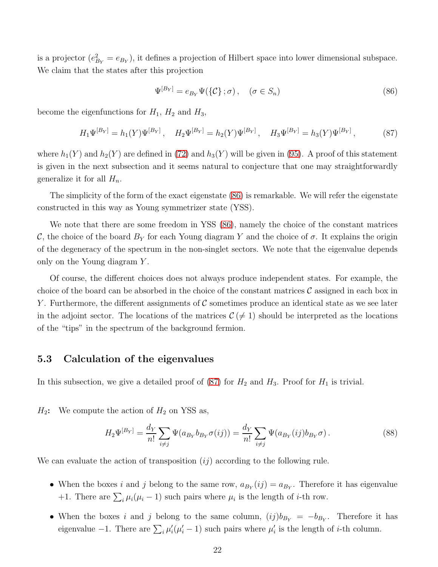is a projector  $(e_{B_Y}^2 = e_{B_Y})$ , it defines a projection of Hilbert space into lower dimensional subspace. We claim that the states after this projection

<span id="page-22-0"></span>
$$
\Psi^{[B_Y]} = e_{B_Y} \Psi(\{\mathcal{C}\}; \sigma), \quad (\sigma \in S_n)
$$
\n(86)

become the eigenfunctions for  $H_1$ ,  $H_2$  and  $H_3$ ,

<span id="page-22-1"></span>
$$
H_1\Psi^{[B_Y]} = h_1(Y)\Psi^{[B_Y]}, \quad H_2\Psi^{[B_Y]} = h_2(Y)\Psi^{[B_Y]}, \quad H_3\Psi^{[B_Y]} = h_3(Y)\Psi^{[B_Y]}, \tag{87}
$$

where  $h_1(Y)$  and  $h_2(Y)$  are defined in [\(72\)](#page-16-0) and  $h_3(Y)$  will be given in [\(95\)](#page-24-0). A proof of this statement is given in the next subsection and it seems natural to conjecture that one may straightforwardly generalize it for all  $H_n$ .

The simplicity of the form of the exact eigenstate [\(86\)](#page-22-0) is remarkable. We will refer the eigenstate constructed in this way as Young symmetrizer state (YSS).

We note that there are some freedom in YSS [\(86\)](#page-22-0), namely the choice of the constant matrices C, the choice of the board  $B<sub>Y</sub>$  for each Young diagram Y and the choice of  $\sigma$ . It explains the origin of the degeneracy of the spectrum in the non-singlet sectors. We note that the eigenvalue depends only on the Young diagram Y .

Of course, the different choices does not always produce independent states. For example, the choice of the board can be absorbed in the choice of the constant matrices  $\mathcal C$  assigned in each box in Y. Furthermore, the different assignments of C sometimes produce an identical state as we see later in the adjoint sector. The locations of the matrices  $\mathcal{C}(\neq 1)$  should be interpreted as the locations of the "tips" in the spectrum of the background fermion.

### 5.3 Calculation of the eigenvalues

In this subsection, we give a detailed proof of  $(87)$  for  $H_2$  and  $H_3$ . Proof for  $H_1$  is trivial.

 $H_2$ : We compute the action of  $H_2$  on YSS as,

$$
H_2 \Psi^{[B_Y]} = \frac{d_Y}{n!} \sum_{i \neq j} \Psi(a_{B_Y} b_{B_Y} \sigma(ij)) = \frac{d_Y}{n!} \sum_{i \neq j} \Psi(a_{B_Y}(ij) b_{B_Y} \sigma).
$$
 (88)

We can evaluate the action of transposition  $(ij)$  according to the following rule.

- When the boxes i and j belong to the same row,  $a_{B_Y}(ij) = a_{B_Y}$ . Therefore it has eigenvalue +1. There are  $\sum_i \mu_i(\mu_i - 1)$  such pairs where  $\mu_i$  is the length of *i*-th row.
- When the boxes i and j belong to the same column,  $(ij)b_{B_Y} = -b_{B_Y}$ . Therefore it has eigenvalue -1. There are  $\sum_i \mu'_i(\mu'_i-1)$  such pairs where  $\mu'_i$  is the length of *i*-th column.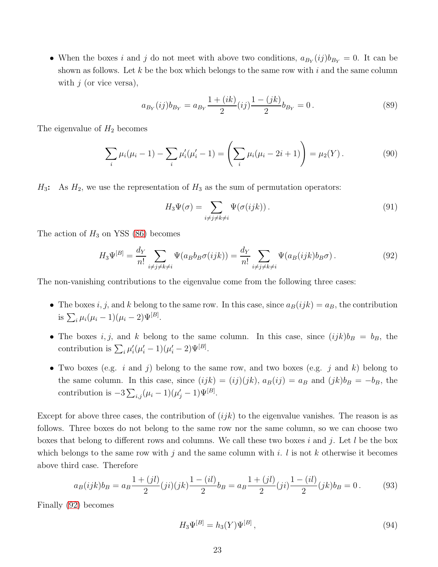• When the boxes i and j do not meet with above two conditions,  $a_{B_Y}(ij)b_{B_Y} = 0$ . It can be shown as follows. Let k be the box which belongs to the same row with  $i$  and the same column with  $j$  (or vice versa),

$$
a_{B_Y}(ij)b_{B_Y} = a_{B_Y}\frac{1+(ik)}{2}(ij)\frac{1-(jk)}{2}b_{B_Y} = 0.
$$
\n(89)

The eigenvalue of  $H_2$  becomes

$$
\sum_{i} \mu_i(\mu_i - 1) - \sum_{i} \mu'_i(\mu'_i - 1) = \left(\sum_{i} \mu_i(\mu_i - 2i + 1)\right) = \mu_2(Y). \tag{90}
$$

 $H_3$ : As  $H_2$ , we use the representation of  $H_3$  as the sum of permutation operators:

<span id="page-23-0"></span>
$$
H_3\Psi(\sigma) = \sum_{i \neq j \neq k \neq i} \Psi(\sigma(ijk)). \tag{91}
$$

The action of  $H_3$  on YSS [\(86\)](#page-22-0) becomes

$$
H_3\Psi^{[B]} = \frac{d_Y}{n!} \sum_{i \neq j \neq k \neq i} \Psi(a_B b_B \sigma(ijk)) = \frac{d_Y}{n!} \sum_{i \neq j \neq k \neq i} \Psi(a_B(ijk)b_B \sigma). \tag{92}
$$

The non-vanishing contributions to the eigenvalue come from the following three cases:

- The boxes i, j, and k belong to the same row. In this case, since  $a_B(ijk) = a_B$ , the contribution is  $\sum_i \mu_i (\mu_i - 1)(\mu_i - 2)\Psi^{[B]}.$
- The boxes i, j, and k belong to the same column. In this case, since  $(ijk)b_B = b_B$ , the contribution is  $\sum_i \mu'_i (\mu'_i - 1)(\mu'_i - 2)\Psi^{[B]}$ .
- Two boxes (e.g. i and j) belong to the same row, and two boxes (e.g. j and k) belong to the same column. In this case, since  $(ijk) = (ij)(jk)$ ,  $a_B(ij) = a_B$  and  $(jk)b_B = -b_B$ , the contribution is  $-3\sum_{i,j}(\mu_i-1)(\mu'_j-1)\Psi^{[B]}.$

Except for above three cases, the contribution of  $(ijk)$  to the eigenvalue vanishes. The reason is as follows. Three boxes do not belong to the same row nor the same column, so we can choose two boxes that belong to different rows and columns. We call these two boxes i and j. Let l be the box which belongs to the same row with j and the same column with i. I is not k otherwise it becomes above third case. Therefore

$$
a_B(ijk)b_B = a_B \frac{1 + (jl)}{2} (ji)(jk) \frac{1 - (il)}{2} b_B = a_B \frac{1 + (jl)}{2} (ji) \frac{1 - (il)}{2} (jk) b_B = 0.
$$
 (93)

Finally [\(92\)](#page-23-0) becomes

$$
H_3 \Psi^{[B]} = h_3(Y) \Psi^{[B]},\tag{94}
$$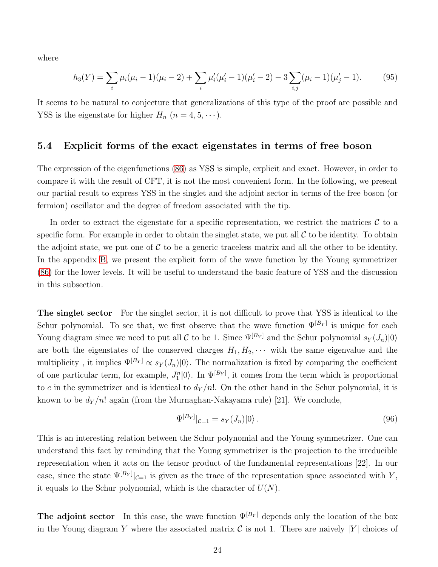where

<span id="page-24-0"></span>
$$
h_3(Y) = \sum_{i} \mu_i (\mu_i - 1)(\mu_i - 2) + \sum_{i} \mu'_i (\mu'_i - 1)(\mu'_i - 2) - 3 \sum_{i,j} (\mu_i - 1)(\mu'_j - 1).
$$
 (95)

It seems to be natural to conjecture that generalizations of this type of the proof are possible and YSS is the eigenstate for higher  $H_n$   $(n = 4, 5, \cdots).$ 

### 5.4 Explicit forms of the exact eigenstates in terms of free boson

The expression of the eigenfunctions [\(86\)](#page-22-0) as YSS is simple, explicit and exact. However, in order to compare it with the result of CFT, it is not the most convenient form. In the following, we present our partial result to express YSS in the singlet and the adjoint sector in terms of the free boson (or fermion) oscillator and the degree of freedom associated with the tip.

In order to extract the eigenstate for a specific representation, we restrict the matrices  $\mathcal C$  to a specific form. For example in order to obtain the singlet state, we put all  $\mathcal C$  to be identity. To obtain the adjoint state, we put one of  $C$  to be a generic traceless matrix and all the other to be identity. In the appendix [B,](#page-30-0) we present the explicit form of the wave function by the Young symmetrizer [\(86\)](#page-22-0) for the lower levels. It will be useful to understand the basic feature of YSS and the discussion in this subsection.

The singlet sector For the singlet sector, it is not difficult to prove that YSS is identical to the Schur polynomial. To see that, we first observe that the wave function  $\Psi^{[B_Y]}$  is unique for each Young diagram since we need to put all C to be 1. Since  $\Psi^{[B_Y]}$  and the Schur polynomial  $s_Y(J_n)|0\rangle$ are both the eigenstates of the conserved charges  $H_1, H_2, \cdots$  with the same eigenvalue and the multiplicity, it implies  $\Psi^{[B_Y]} \propto s_Y(J_n)|0\rangle$ . The normalization is fixed by comparing the coefficient of one particular term, for example,  $J_1^n|0\rangle$ . In  $\Psi^{[B_Y]}$ , it comes from the term which is proportional to e in the symmetrizer and is identical to  $d_Y/n!$ . On the other hand in the Schur polynomial, it is known to be  $d_Y/n!$  again (from the Murnaghan-Nakayama rule) [21]. We conclude,

$$
\Psi^{[B_Y]}|_{\mathcal{C}=1} = s_Y(J_n)|0\rangle.
$$
\n(96)

This is an interesting relation between the Schur polynomial and the Young symmetrizer. One can understand this fact by reminding that the Young symmetrizer is the projection to the irreducible representation when it acts on the tensor product of the fundamental representations [22]. In our case, since the state  $\Psi^{[B_Y]}|_{\mathcal{C}=1}$  is given as the trace of the representation space associated with Y, it equals to the Schur polynomial, which is the character of  $U(N)$ .

**The adjoint sector** In this case, the wave function  $\Psi^{[B_Y]}$  depends only the location of the box in the Young diagram Y where the associated matrix  $\mathcal C$  is not 1. There are naively |Y| choices of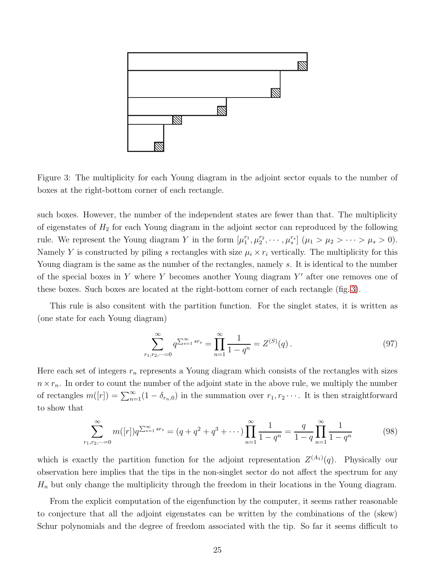

<span id="page-25-0"></span>Figure 3: The multiplicity for each Young diagram in the adjoint sector equals to the number of boxes at the right-bottom corner of each rectangle.

such boxes. However, the number of the independent states are fewer than that. The multiplicity of eigenstates of  $H_2$  for each Young diagram in the adjoint sector can reproduced by the following rule. We represent the Young diagram Y in the form  $[\mu_1^{r_1}, \mu_2^{r_2}, \cdots, \mu_s^{r_s}]$   $(\mu_1 > \mu_2 > \cdots > \mu_s > 0)$ . Namely Y is constructed by piling s rectangles with size  $\mu_i \times r_i$  vertically. The multiplicity for this Young diagram is the same as the number of the rectangles, namely s. It is identical to the number of the special boxes in Y where Y becomes another Young diagram  $Y'$  after one removes one of these boxes. Such boxes are located at the right-bottom corner of each rectangle (fig. [3\)](#page-25-0).

This rule is also consitent with the partition function. For the singlet states, it is written as (one state for each Young diagram)

$$
\sum_{r_1, r_2, \dots = 0}^{\infty} q^{\sum_{s=1}^{\infty} sr_s} = \prod_{n=1}^{\infty} \frac{1}{1 - q^n} = Z^{(S)}(q) \,. \tag{97}
$$

Here each set of integers  $r_n$  represents a Young diagram which consists of the rectangles with sizes  $n \times r_n$ . In order to count the number of the adjoint state in the above rule, we multiply the number of rectangles  $m([r]) = \sum_{n=1}^{\infty} (1 - \delta_{r_n,0})$  in the summation over  $r_1, r_2 \cdots$ . It is then straightforward to show that

$$
\sum_{r_1, r_2, \dots = 0}^{\infty} m([r]) q^{\sum_{s=1}^{\infty} sr_s} = (q + q^2 + q^3 + \dots) \prod_{n=1}^{\infty} \frac{1}{1 - q^n} = \frac{q}{1 - q} \prod_{n=1}^{\infty} \frac{1}{1 - q^n}
$$
(98)

which is exactly the partition function for the adjoint representation  $Z^{(A_1)}(q)$ . Physically our observation here implies that the tips in the non-singlet sector do not affect the spectrum for any  $H_n$  but only change the multiplicity through the freedom in their locations in the Young diagram.

From the explicit computation of the eigenfunction by the computer, it seems rather reasonable to conjecture that all the adjoint eigenstates can be written by the combinations of the (skew) Schur polynomials and the degree of freedom associated with the tip. So far it seems difficult to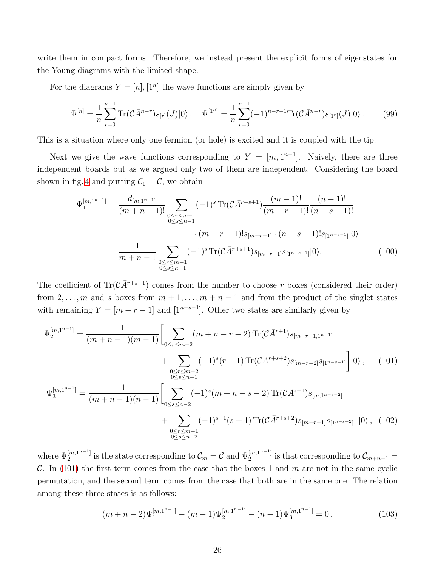write them in compact forms. Therefore, we instead present the explicit forms of eigenstates for the Young diagrams with the limited shape.

For the diagrams  $Y = [n], [1^n]$  the wave functions are simply given by

$$
\Psi^{[n]} = \frac{1}{n} \sum_{r=0}^{n-1} \text{Tr}(\mathcal{C}\bar{A}^{n-r}) s_{[r]}(J) |0\rangle \,, \quad \Psi^{[1^n]} = \frac{1}{n} \sum_{r=0}^{n-1} (-1)^{n-r-1} \text{Tr}(\mathcal{C}\bar{A}^{n-r}) s_{[1^r]}(J) |0\rangle \,. \tag{99}
$$

This is a situation where only one fermion (or hole) is excited and it is coupled with the tip.

Next we give the wave functions corresponding to  $Y = [m, 1^{n-1}]$ . Naively, there are three independent boards but as we argued only two of them are independent. Considering the board shown in fig. [4](#page-27-1) and putting  $C_1 = C$ , we obtain

$$
\Psi_1^{[m,1^{n-1}]} = \frac{d_{[m,1^{n-1}]}}{(m+n-1)!} \sum_{\substack{0 \le r \le m-1 \\ 0 \le s \le n-1}} (-1)^s \operatorname{Tr}(\mathcal{C}\bar{A}^{r+s+1}) \frac{(m-1)!}{(m-r-1)!} \frac{(n-1)!}{(n-s-1)!} \n\cdot (m-r-1)! s_{[m-r-1]} \cdot (n-s-1)! s_{[1^{n-s-1}]} |0\rangle \n= \frac{1}{m+n-1} \sum_{\substack{0 \le r \le m-1 \\ 0 \le s \le n-1}} (-1)^s \operatorname{Tr}(\mathcal{C}\bar{A}^{r+s+1}) s_{[m-r-1]} s_{[1^{n-s-1}]} |0\rangle.
$$
\n(100)

The coefficient of  $\text{Tr}(\mathcal{C}\bar{A}^{r+s+1})$  comes from the number to choose r boxes (considered their order) from  $2, \ldots, m$  and s boxes from  $m + 1, \ldots, m + n - 1$  and from the product of the singlet states with remaining  $Y = [m - r - 1]$  and  $[1^{n-s-1}]$ . Other two states are similarly given by

$$
\Psi_2^{[m,1^{n-1}]} = \frac{1}{(m+n-1)(m-1)} \left[ \sum_{0 \le r \le m-2} (m+n-r-2) \operatorname{Tr}(\mathcal{C}\bar{A}^{r+1}) s_{[m-r-1,1^{n-1}]} + \sum_{\substack{0 \le r \le m-2 \\ 0 \le s \le n-1}} (-1)^s (r+1) \operatorname{Tr}(\mathcal{C}\bar{A}^{r+s+2}) s_{[m-r-2]} s_{[1^{n-s-1}]} \right] |0\rangle, \qquad (101)
$$
  

$$
\Psi_3^{[m,1^{n-1}]} = \frac{1}{(m+n-1)(n-1)} \left[ \sum_{0 \le s \le n-2} (-1)^s (m+n-s-2) \operatorname{Tr}(\mathcal{C}\bar{A}^{s+1}) s_{[m,1^{n-s-2}]} + \sum_{\substack{0 \le r \le m-1 \\ 0 \le s \le n-2}} (-1)^{s+1} (s+1) \operatorname{Tr}(\mathcal{C}\bar{A}^{r+s+2}) s_{[m-r-1]} s_{[1^{n-s-2}]} \right] |0\rangle, \qquad (102)
$$

where  $\Psi_2^{[m,1^{n-1}]}$  $\mathcal{L}^{[m,1^{n-1}]}_{2}$  is the state corresponding to  $\mathcal{C}_{m} = \mathcal{C}$  and  $\Psi_2^{[m,1^{n-1}]}$  $\mathcal{C}_{m+n-1}$  is that corresponding to  $\mathcal{C}_{m+n-1}$  = C. In [\(101\)](#page-26-0) the first term comes from the case that the boxes 1 and  $m$  are not in the same cyclic permutation, and the second term comes from the case that both are in the same one. The relation among these three states is as follows:

<span id="page-26-0"></span>
$$
(m+n-2)\Psi_1^{[m,1^{n-1}]} - (m-1)\Psi_2^{[m,1^{n-1}]} - (n-1)\Psi_3^{[m,1^{n-1}]} = 0.
$$
\n(103)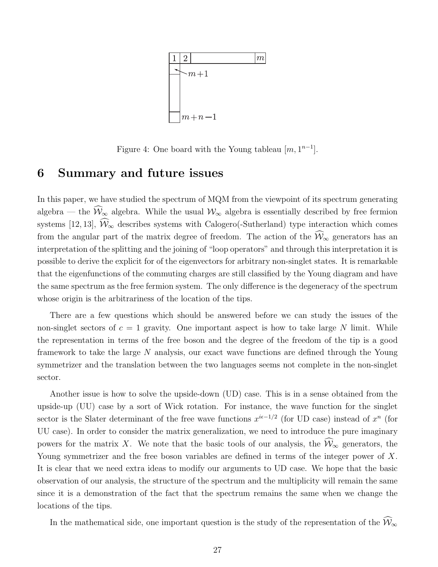

<span id="page-27-1"></span>Figure 4: One board with the Young tableau  $[m, 1^{n-1}]$ .

### <span id="page-27-0"></span>6 Summary and future issues

In this paper, we have studied the spectrum of MQM from the viewpoint of its spectrum generating algebra — the  $\widehat{W}_{\infty}$  algebra. While the usual  $W_{\infty}$  algebra is essentially described by free fermion systems [12, 13],  $\widehat{W}_{\infty}$  describes systems with Calogero(-Sutherland) type interaction which comes from the angular part of the matrix degree of freedom. The action of the  $\widehat{W}_{\infty}$  generators has an interpretation of the splitting and the joining of "loop operators" and through this interpretation it is possible to derive the explicit for of the eigenvectors for arbitrary non-singlet states. It is remarkable that the eigenfunctions of the commuting charges are still classified by the Young diagram and have the same spectrum as the free fermion system. The only difference is the degeneracy of the spectrum whose origin is the arbitrariness of the location of the tips.

There are a few questions which should be answered before we can study the issues of the non-singlet sectors of  $c = 1$  gravity. One important aspect is how to take large N limit. While the representation in terms of the free boson and the degree of the freedom of the tip is a good framework to take the large N analysis, our exact wave functions are defined through the Young symmetrizer and the translation between the two languages seems not complete in the non-singlet sector.

Another issue is how to solve the upside-down (UD) case. This is in a sense obtained from the upside-up (UU) case by a sort of Wick rotation. For instance, the wave function for the singlet sector is the Slater determinant of the free wave functions  $x^{i\epsilon-1/2}$  (for UD case) instead of  $x^n$  (for UU case). In order to consider the matrix generalization, we need to introduce the pure imaginary powers for the matrix X. We note that the basic tools of our analysis, the  $\widehat{W}_{\infty}$  generators, the Young symmetrizer and the free boson variables are defined in terms of the integer power of X. It is clear that we need extra ideas to modify our arguments to UD case. We hope that the basic observation of our analysis, the structure of the spectrum and the multiplicity will remain the same since it is a demonstration of the fact that the spectrum remains the same when we change the locations of the tips.

In the mathematical side, one important question is the study of the representation of the  $\widehat{\mathcal{W}}_{\infty}$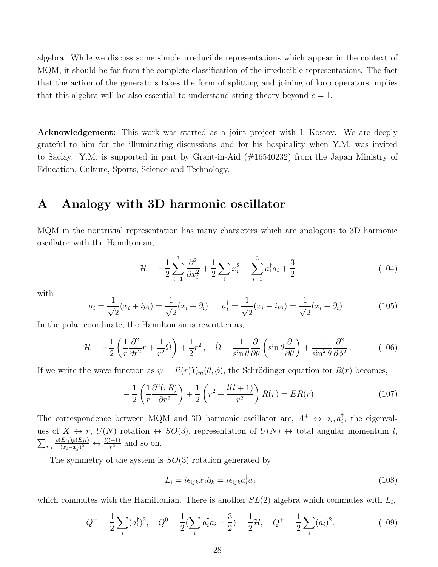algebra. While we discuss some simple irreducible representations which appear in the context of MQM, it should be far from the complete classification of the irreducible representations. The fact that the action of the generators takes the form of splitting and joining of loop operators implies that this algebra will be also essential to understand string theory beyond  $c = 1$ .

**Acknowledgement:** This work was started as a joint project with I. Kostov. We are deeply grateful to him for the illuminating discussions and for his hospitality when Y.M. was invited to Saclay. Y.M. is supported in part by Grant-in-Aid (#16540232) from the Japan Ministry of Education, Culture, Sports, Science and Technology.

## <span id="page-28-0"></span>A Analogy with 3D harmonic oscillator

MQM in the nontrivial representation has many characters which are analogous to 3D harmonic oscillator with the Hamiltonian,

$$
\mathcal{H} = -\frac{1}{2} \sum_{i=1}^{3} \frac{\partial^2}{\partial x_i^2} + \frac{1}{2} \sum_{i} x_i^2 = \sum_{i=1}^{3} a_i^{\dagger} a_i + \frac{3}{2}
$$
 (104)

with

$$
a_i = \frac{1}{\sqrt{2}}(x_i + ip_i) = \frac{1}{\sqrt{2}}(x_i + \partial_i), \quad a_i^{\dagger} = \frac{1}{\sqrt{2}}(x_i - ip_i) = \frac{1}{\sqrt{2}}(x_i - \partial_i).
$$
 (105)

In the polar coordinate, the Hamiltonian is rewritten as,

$$
\mathcal{H} = -\frac{1}{2} \left( \frac{1}{r} \frac{\partial^2}{\partial r^2} r + \frac{1}{r^2} \hat{\Omega} \right) + \frac{1}{2} r^2, \quad \hat{\Omega} = \frac{1}{\sin \theta} \frac{\partial}{\partial \theta} \left( \sin \theta \frac{\partial}{\partial \theta} \right) + \frac{1}{\sin^2 \theta} \frac{\partial^2}{\partial \phi^2}.
$$
 (106)

If we write the wave function as  $\psi = R(r)Y_{lm}(\theta, \phi)$ , the Schrödinger equation for  $R(r)$  becomes,

$$
-\frac{1}{2}\left(\frac{1}{r}\frac{\partial^2(rR)}{\partial r^2}\right) + \frac{1}{2}\left(r^2 + \frac{l(l+1)}{r^2}\right)R(r) = ER(r)
$$
\n(107)

The correspondence between MQM and 3D harmonic oscillator are,  $A^{\pm} \leftrightarrow a_i, a_i^{\dagger}$ , the eigenvalues of  $X \leftrightarrow r$ ,  $U(N)$  rotation  $\leftrightarrow SO(3)$ , representation of  $U(N) \leftrightarrow$  total angular momentum l,  $_{i,j}$  $\rho(E_{ij})\rho(E_{ji})$  $\frac{(E_{ij})\rho(E_{ji})}{(x_i-x_j)^2} \leftrightarrow \frac{l(l+1)}{r^2}$  and so on.

The symmetry of the system is  $SO(3)$  rotation generated by

$$
L_i = i\epsilon_{ijk}x_j\partial_k = i\epsilon_{ijk}a_i^{\dagger}a_j\tag{108}
$$

which commutes with the Hamiltonian. There is another  $SL(2)$  algebra which commutes with  $L_i$ ,

$$
Q^{-} = \frac{1}{2} \sum_{i} (a_i^{\dagger})^2, \quad Q^{0} = \frac{1}{2} (\sum_{i} a_i^{\dagger} a_i + \frac{3}{2}) = \frac{1}{2} \mathcal{H}, \quad Q^{+} = \frac{1}{2} \sum_{i} (a_i)^2.
$$
 (109)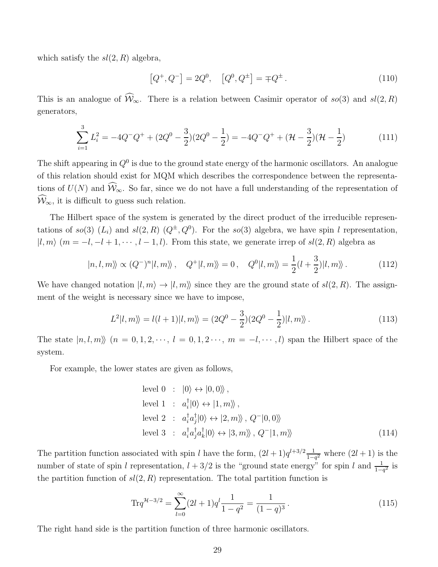which satisfy the  $sl(2, R)$  algebra,

$$
[Q^+, Q^-] = 2Q^0, \quad [Q^0, Q^\pm] = \mp Q^\pm. \tag{110}
$$

This is an analogue of  $\widehat{W}_{\infty}$ . There is a relation between Casimir operator of so(3) and sl(2, R) generators,

$$
\sum_{i=1}^{3} L_i^2 = -4Q^-Q^+ + (2Q^0 - \frac{3}{2})(2Q^0 - \frac{1}{2}) = -4Q^-Q^+ + (\mathcal{H} - \frac{3}{2})(\mathcal{H} - \frac{1}{2})
$$
(111)

The shift appearing in  $Q^0$  is due to the ground state energy of the harmonic oscillators. An analogue of this relation should exist for MQM which describes the correspondence between the representations of  $U(N)$  and  $\widehat{W}_{\infty}$ . So far, since we do not have a full understanding of the representation of  $\mathcal{W}_{\infty}$ , it is difficult to guess such relation.

The Hilbert space of the system is generated by the direct product of the irreducible representations of so(3)  $(L_i)$  and sl(2, R)  $(Q^{\pm}, Q^0)$ . For the so(3) algebra, we have spin l representation,  $|l, m\rangle$   $(m = -l, -l + 1, \dots, l - 1, l)$ . From this state, we generate irrep of  $sl(2, R)$  algebra as

$$
|n,l,m\rangle \propto (Q^-)^n |l,m\rangle \,, \quad Q^+|l,m\rangle = 0 \,, \quad Q^0|l,m\rangle = \frac{1}{2}(l+\frac{3}{2})|l,m\rangle \,.
$$
 (112)

We have changed notation  $|l, m\rangle \rightarrow |l, m\rangle$  since they are the ground state of  $sl(2, R)$ . The assignment of the weight is necessary since we have to impose,

$$
L^{2}|l,m\rangle = l(l+1)|l,m\rangle = (2Q^{0} - \frac{3}{2})(2Q^{0} - \frac{1}{2})|l,m\rangle.
$$
 (113)

The state  $|n, l, m \rangle$   $(n = 0, 1, 2, \dots, l = 0, 1, 2, \dots, m = -l, \dots, l)$  span the Hilbert space of the system.

For example, the lower states are given as follows,

level 0 : 
$$
|0\rangle \leftrightarrow |0,0\rangle\rangle
$$
,  
\nlevel 1 :  $a_i^{\dagger} |0\rangle \leftrightarrow |1, m\rangle\rangle$ ,  
\nlevel 2 :  $a_i^{\dagger} a_j^{\dagger} |0\rangle \leftrightarrow |2, m\rangle\rangle$ ,  $Q^- |0,0\rangle\rangle$   
\nlevel 3 :  $a_i^{\dagger} a_j^{\dagger} a_k^{\dagger} |0\rangle \leftrightarrow |3, m\rangle\rangle$ ,  $Q^- |1, m\rangle\rangle$  (114)

The partition function associated with spin l have the form,  $(2l+1)q^{l+3/2}\frac{1}{1-l}$  $\frac{1}{1-q^2}$  where  $(2l+1)$  is the number of state of spin l representation,  $l + 3/2$  is the "ground state energy" for spin l and  $\frac{1}{1-q^2}$  is the partition function of  $sl(2, R)$  representation. The total partition function is

<span id="page-29-0"></span>
$$
\text{Tr}q^{\mathcal{H}-3/2} = \sum_{l=0}^{\infty} (2l+1)q^l \frac{1}{1-q^2} = \frac{1}{(1-q)^3}.
$$
 (115)

The right hand side is the partition function of three harmonic oscillators.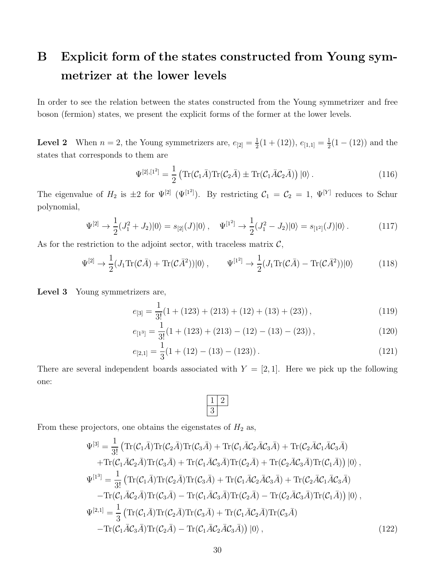# <span id="page-30-0"></span>B Explicit form of the states constructed from Young symmetrizer at the lower levels

In order to see the relation between the states constructed from the Young symmetrizer and free boson (fermion) states, we present the explicit forms of the former at the lower levels.

**Level 2** When  $n = 2$ , the Young symmetrizers are,  $e_{[2]} = \frac{1}{2}$  $\frac{1}{2}(1+(12)), e_{[1,1]}=\frac{1}{2}$  $\frac{1}{2}(1-(12))$  and the states that corresponds to them are

$$
\Psi^{[2],[1^2]} = \frac{1}{2} \left( \text{Tr}(\mathcal{C}_1 \bar{A}) \text{Tr}(\mathcal{C}_2 \bar{A}) \pm \text{Tr}(\mathcal{C}_1 \bar{A} \mathcal{C}_2 \bar{A}) \right) |0\rangle. \tag{116}
$$

The eigenvalue of  $H_2$  is  $\pm 2$  for  $\Psi^{[2]}$  ( $\Psi^{[1^2]}$ ). By restricting  $C_1 = C_2 = 1$ ,  $\Psi^{[Y]}$  reduces to Schur polynomial,

$$
\Psi^{[2]} \to \frac{1}{2}(J_1^2 + J_2)|0\rangle = s_{[2]}(J)|0\rangle \,, \quad \Psi^{[1^2]} \to \frac{1}{2}(J_1^2 - J_2)|0\rangle = s_{[1^2]}(J)|0\rangle \,. \tag{117}
$$

As for the restriction to the adjoint sector, with traceless matrix  $C$ ,

$$
\Psi^{[2]} \to \frac{1}{2} (J_1 \text{Tr}(\mathcal{C}\bar{A}) + \text{Tr}(\mathcal{C}\bar{A}^2)) |0\rangle, \qquad \Psi^{[1^2]} \to \frac{1}{2} (J_1 \text{Tr}(\mathcal{C}\bar{A}) - \text{Tr}(\mathcal{C}\bar{A}^2)) |0\rangle \tag{118}
$$

Level 3 Young symmetrizers are,

$$
e_{[3]} = \frac{1}{3!} (1 + (123) + (213) + (12) + (13) + (23)),
$$
\n(119)

$$
e_{[1^3]} = \frac{1}{3!} (1 + (123) + (213) - (12) - (13) - (23)),
$$
\n(120)

$$
e_{[2,1]} = \frac{1}{3}(1 + (12) - (13) - (123)).
$$
\n(121)

There are several independent boards associated with  $Y = [2, 1]$ . Here we pick up the following one:



From these projectors, one obtains the eigenstates of  $H_2$  as,

$$
\Psi^{[3]} = \frac{1}{3!} \left( \text{Tr}(\mathcal{C}_1 \bar{A}) \text{Tr}(\mathcal{C}_2 \bar{A}) \text{Tr}(\mathcal{C}_3 \bar{A}) + \text{Tr}(\mathcal{C}_1 \bar{A}\mathcal{C}_2 \bar{A}\mathcal{C}_3 \bar{A}) + \text{Tr}(\mathcal{C}_1 \bar{A}\mathcal{C}_2 \bar{A}) \text{Tr}(\mathcal{C}_3 \bar{A}) + \text{Tr}(\mathcal{C}_1 \bar{A}\mathcal{C}_2 \bar{A}) \text{Tr}(\mathcal{C}_3 \bar{A}) + \text{Tr}(\mathcal{C}_1 \bar{A}\mathcal{C}_3 \bar{A}) \text{Tr}(\mathcal{C}_2 \bar{A}) + \text{Tr}(\mathcal{C}_2 \bar{A}\mathcal{C}_3 \bar{A}) \text{Tr}(\mathcal{C}_1 \bar{A}) \right) |0\rangle ,
$$
\n
$$
\Psi^{[1^3]} = \frac{1}{3!} \left( \text{Tr}(\mathcal{C}_1 \bar{A}) \text{Tr}(\mathcal{C}_2 \bar{A}) \text{Tr}(\mathcal{C}_3 \bar{A}) + \text{Tr}(\mathcal{C}_1 \bar{A}\mathcal{C}_2 \bar{A}\mathcal{C}_3 \bar{A}) + \text{Tr}(\mathcal{C}_2 \bar{A}\mathcal{C}_3 \bar{A}) \right) - \text{Tr}(\mathcal{C}_1 \bar{A}\mathcal{C}_2 \bar{A}) \text{Tr}(\mathcal{C}_3 \bar{A}) - \text{Tr}(\mathcal{C}_1 \bar{A}\mathcal{C}_3 \bar{A}) \text{Tr}(\mathcal{C}_2 \bar{A}) - \text{Tr}(\mathcal{C}_2 \bar{A}\mathcal{C}_3 \bar{A}) \text{Tr}(\mathcal{C}_1 \bar{A}) \right) |0\rangle ,
$$
\n
$$
\Psi^{[2,1]} = \frac{1}{3} \left( \text{Tr}(\mathcal{C}_1 \bar{A}) \text{Tr}(\mathcal{C}_2 \bar{A}) \text{Tr}(\mathcal{C}_3 \bar{A}) + \text{Tr}(\mathcal{C}_1 \bar{A}\mathcal{C}_2 \bar{A}) \text{Tr}(\mathcal{C}_3 \bar{A}) \right) - \text{Tr}(\mathcal{C}_1 \bar{A}\mathcal{C}_3 \bar{A}) \text{Tr
$$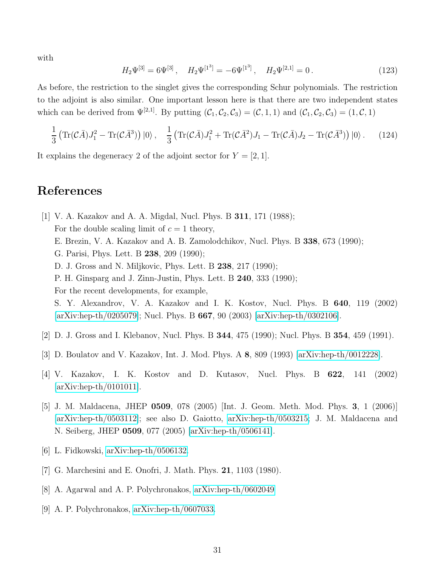with

$$
H_2\Psi^{[3]} = 6\Psi^{[3]}, \quad H_2\Psi^{[1^3]} = -6\Psi^{[1^3]}, \quad H_2\Psi^{[2,1]} = 0.
$$
 (123)

As before, the restriction to the singlet gives the corresponding Schur polynomials. The restriction to the adjoint is also similar. One important lesson here is that there are two independent states which can be derived from  $\Psi^{[2,1]}$ . By putting  $(C_1, C_2, C_3) = (C, 1, 1)$  and  $(C_1, C_2, C_3) = (1, C, 1)$ 

$$
\frac{1}{3} \left( \text{Tr}(\mathcal{C}\bar{A})J_1^2 - \text{Tr}(\mathcal{C}\bar{A}^3) \right) |0\rangle \,, \quad \frac{1}{3} \left( \text{Tr}(\mathcal{C}\bar{A})J_1^2 + \text{Tr}(\mathcal{C}\bar{A}^2)J_1 - \text{Tr}(\mathcal{C}\bar{A})J_2 - \text{Tr}(\mathcal{C}\bar{A}^3) \right) |0\rangle \,.
$$
 (124)

It explains the degeneracy 2 of the adjoint sector for  $Y = [2, 1]$ .

## References

- [1] V. A. Kazakov and A. A. Migdal, Nucl. Phys. B 311, 171 (1988); For the double scaling limit of  $c = 1$  theory, E. Brezin, V. A. Kazakov and A. B. Zamolodchikov, Nucl. Phys. B 338, 673 (1990); G. Parisi, Phys. Lett. B 238, 209 (1990); D. J. Gross and N. Miljkovic, Phys. Lett. B 238, 217 (1990); P. H. Ginsparg and J. Zinn-Justin, Phys. Lett. B 240, 333 (1990); For the recent developments, for example, S. Y. Alexandrov, V. A. Kazakov and I. K. Kostov, Nucl. Phys. B 640, 119 (2002) [\[arXiv:hep-th/0205079\]](http://arxiv.org/abs/hep-th/0205079); Nucl. Phys. B 667, 90 (2003) [\[arXiv:hep-th/0302106\]](http://arxiv.org/abs/hep-th/0302106).
- [2] D. J. Gross and I. Klebanov, Nucl. Phys. B 344, 475 (1990); Nucl. Phys. B 354, 459 (1991).
- [3] D. Boulatov and V. Kazakov, Int. J. Mod. Phys. A 8, 809 (1993) [\[arXiv:hep-th/0012228\]](http://arxiv.org/abs/hep-th/0012228).
- [4] V. Kazakov, I. K. Kostov and D. Kutasov, Nucl. Phys. B 622, 141 (2002) [\[arXiv:hep-th/0101011\]](http://arxiv.org/abs/hep-th/0101011).
- [5] J. M. Maldacena, JHEP 0509, 078 (2005) [Int. J. Geom. Meth. Mod. Phys. 3, 1 (2006)] [\[arXiv:hep-th/0503112\]](http://arxiv.org/abs/hep-th/0503112); see also D. Gaiotto, [arXiv:hep-th/0503215;](http://arxiv.org/abs/hep-th/0503215) J. M. Maldacena and N. Seiberg, JHEP 0509, 077 (2005) [\[arXiv:hep-th/0506141\]](http://arxiv.org/abs/hep-th/0506141).
- [6] L. Fidkowski, [arXiv:hep-th/0506132.](http://arxiv.org/abs/hep-th/0506132)
- [7] G. Marchesini and E. Onofri, J. Math. Phys. 21, 1103 (1980).
- [8] A. Agarwal and A. P. Polychronakos, [arXiv:hep-th/0602049](http://arxiv.org/abs/hep-th/0602049)
- [9] A. P. Polychronakos, [arXiv:hep-th/0607033.](http://arxiv.org/abs/hep-th/0607033)